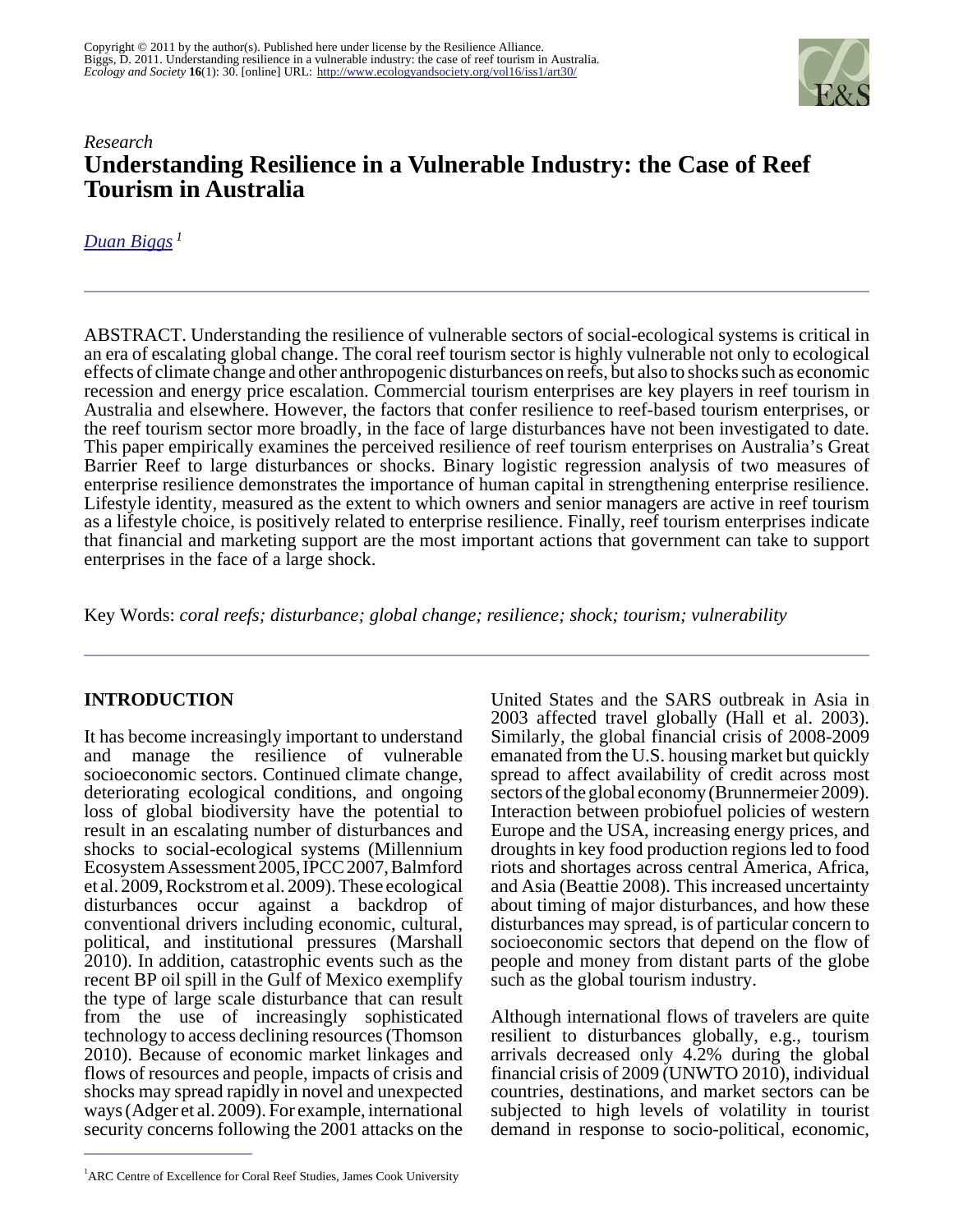

# *Research* **Understanding Resilience in a Vulnerable Industry: the Case of Reef Tourism in Australia**

*[Duan Biggs](mailto:ancientantwren@gmail.com)<sup>1</sup>*

ABSTRACT. Understanding the resilience of vulnerable sectors of social-ecological systems is critical in an era of escalating global change. The coral reef tourism sector is highly vulnerable not only to ecological effects of climate change and other anthropogenic disturbances on reefs, but also to shocks such as economic recession and energy price escalation. Commercial tourism enterprises are key players in reef tourism in Australia and elsewhere. However, the factors that confer resilience to reef-based tourism enterprises, or the reef tourism sector more broadly, in the face of large disturbances have not been investigated to date. This paper empirically examines the perceived resilience of reef tourism enterprises on Australia's Great Barrier Reef to large disturbances or shocks. Binary logistic regression analysis of two measures of enterprise resilience demonstrates the importance of human capital in strengthening enterprise resilience. Lifestyle identity, measured as the extent to which owners and senior managers are active in reef tourism as a lifestyle choice, is positively related to enterprise resilience. Finally, reef tourism enterprises indicate that financial and marketing support are the most important actions that government can take to support enterprises in the face of a large shock.

Key Words: *coral reefs; disturbance; global change; resilience; shock; tourism; vulnerability*

## **INTRODUCTION**

It has become increasingly important to understand and manage the resilience of vulnerable socioeconomic sectors. Continued climate change, deteriorating ecological conditions, and ongoing loss of global biodiversity have the potential to result in an escalating number of disturbances and shocks to social-ecological systems (Millennium Ecosystem Assessment 2005, IPCC 2007, Balmford et al. 2009, Rockstrom et al. 2009). These ecological disturbances occur against a backdrop of conventional drivers including economic, cultural, political, and institutional pressures (Marshall 2010). In addition, catastrophic events such as the recent BP oil spill in the Gulf of Mexico exemplify the type of large scale disturbance that can result from the use of increasingly sophisticated technology to access declining resources (Thomson 2010). Because of economic market linkages and flows of resources and people, impacts of crisis and shocks may spread rapidly in novel and unexpected ways (Adger et al. 2009). For example, international security concerns following the 2001 attacks on the

2003 affected travel globally (Hall et al. 2003). Similarly, the global financial crisis of 2008-2009 emanated from the U.S. housing market but quickly spread to affect availability of credit across most sectors of the global economy (Brunnermeier 2009). Interaction between probiofuel policies of western Europe and the USA, increasing energy prices, and droughts in key food production regions led to food riots and shortages across central America, Africa, and Asia (Beattie 2008). This increased uncertainty about timing of major disturbances, and how these disturbances may spread, is of particular concern to socioeconomic sectors that depend on the flow of people and money from distant parts of the globe such as the global tourism industry.

United States and the SARS outbreak in Asia in

Although international flows of travelers are quite resilient to disturbances globally, e.g., tourism arrivals decreased only 4.2% during the global financial crisis of 2009 (UNWTO 2010), individual countries, destinations, and market sectors can be subjected to high levels of volatility in tourist demand in response to socio-political, economic,

<sup>&</sup>lt;sup>1</sup>ARC Centre of Excellence for Coral Reef Studies, James Cook University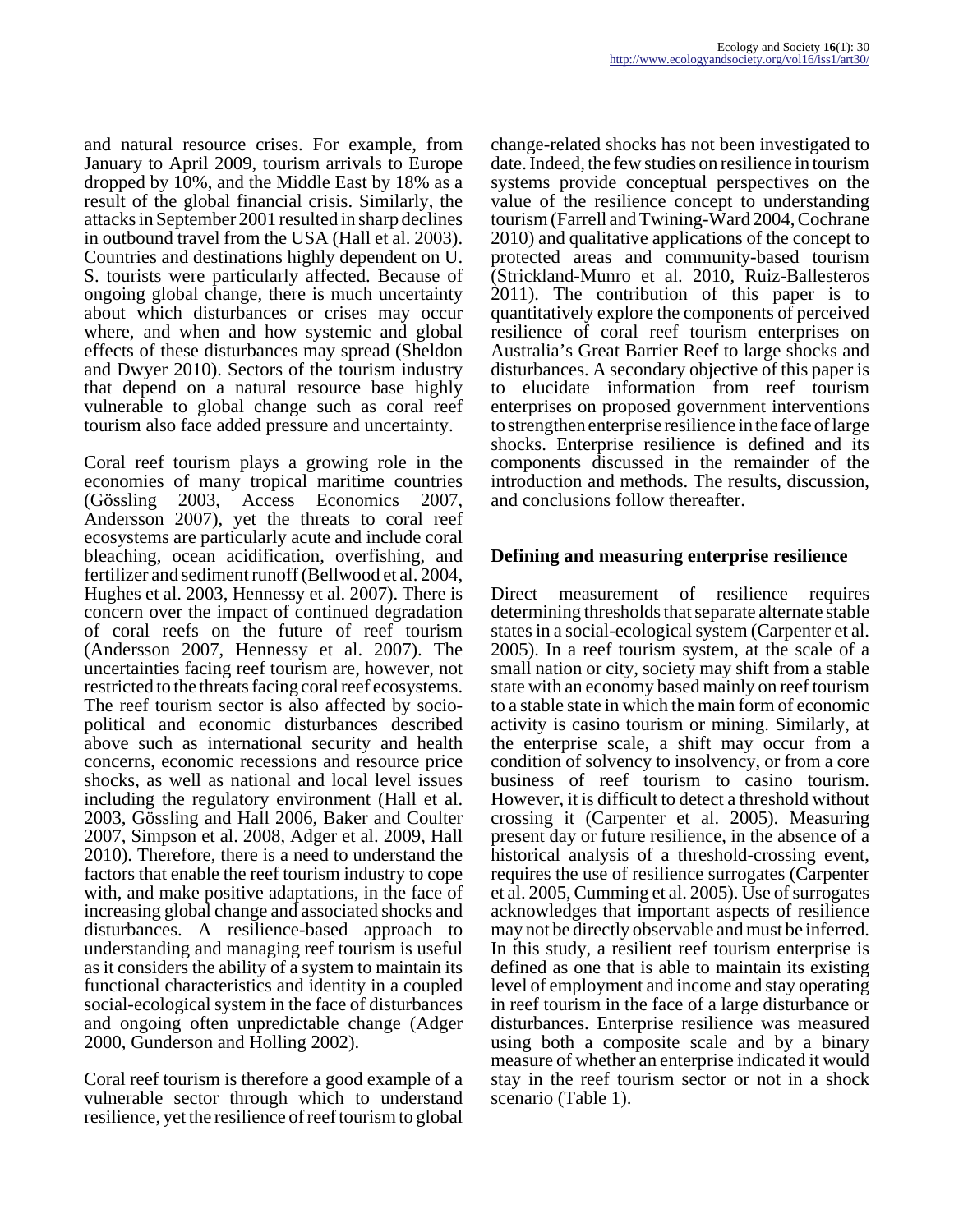and natural resource crises. For example, from January to April 2009, tourism arrivals to Europe dropped by 10%, and the Middle East by 18% as a result of the global financial crisis. Similarly, the attacks in September 2001 resulted in sharp declines in outbound travel from the USA (Hall et al. 2003). Countries and destinations highly dependent on U. S. tourists were particularly affected. Because of ongoing global change, there is much uncertainty about which disturbances or crises may occur where, and when and how systemic and global effects of these disturbances may spread (Sheldon and Dwyer 2010). Sectors of the tourism industry that depend on a natural resource base highly vulnerable to global change such as coral reef tourism also face added pressure and uncertainty.

Coral reef tourism plays a growing role in the economies of many tropical maritime countries (Gössling 2003, Access Economics 2007, Andersson 2007), yet the threats to coral reef ecosystems are particularly acute and include coral bleaching, ocean acidification, overfishing, and fertilizer and sediment runoff (Bellwood et al. 2004, Hughes et al. 2003, Hennessy et al. 2007). There is concern over the impact of continued degradation of coral reefs on the future of reef tourism (Andersson 2007, Hennessy et al. 2007). The uncertainties facing reef tourism are, however, not restricted to the threats facing coral reef ecosystems. The reef tourism sector is also affected by sociopolitical and economic disturbances described above such as international security and health concerns, economic recessions and resource price shocks, as well as national and local level issues including the regulatory environment (Hall et al. 2003, Gössling and Hall 2006, Baker and Coulter 2007, Simpson et al. 2008, Adger et al. 2009, Hall 2010). Therefore, there is a need to understand the factors that enable the reef tourism industry to cope with, and make positive adaptations, in the face of increasing global change and associated shocks and disturbances. A resilience-based approach to understanding and managing reef tourism is useful as it considers the ability of a system to maintain its functional characteristics and identity in a coupled social-ecological system in the face of disturbances and ongoing often unpredictable change (Adger 2000, Gunderson and Holling 2002).

Coral reef tourism is therefore a good example of a vulnerable sector through which to understand resilience, yet the resilience of reef tourism to global

change-related shocks has not been investigated to date. Indeed, the few studies on resilience in tourism systems provide conceptual perspectives on the value of the resilience concept to understanding tourism (Farrell and Twining-Ward 2004, Cochrane 2010) and qualitative applications of the concept to protected areas and community-based tourism (Strickland-Munro et al. 2010, Ruiz-Ballesteros 2011). The contribution of this paper is to quantitatively explore the components of perceived resilience of coral reef tourism enterprises on Australia's Great Barrier Reef to large shocks and disturbances. A secondary objective of this paper is to elucidate information from reef tourism enterprises on proposed government interventions to strengthen enterprise resilience in the face of large shocks. Enterprise resilience is defined and its components discussed in the remainder of the introduction and methods. The results, discussion, and conclusions follow thereafter.

#### **Defining and measuring enterprise resilience**

Direct measurement of resilience requires determining thresholds that separate alternate stable states in a social-ecological system (Carpenter et al. 2005). In a reef tourism system, at the scale of a small nation or city, society may shift from a stable state with an economy based mainly on reef tourism to a stable state in which the main form of economic activity is casino tourism or mining. Similarly, at the enterprise scale, a shift may occur from a condition of solvency to insolvency, or from a core business of reef tourism to casino tourism. However, it is difficult to detect a threshold without crossing it (Carpenter et al. 2005). Measuring present day or future resilience, in the absence of a historical analysis of a threshold-crossing event, requires the use of resilience surrogates (Carpenter et al. 2005, Cumming et al. 2005). Use of surrogates acknowledges that important aspects of resilience may not be directly observable and must be inferred. In this study, a resilient reef tourism enterprise is defined as one that is able to maintain its existing level of employment and income and stay operating in reef tourism in the face of a large disturbance or disturbances. Enterprise resilience was measured using both a composite scale and by a binary measure of whether an enterprise indicated it would stay in the reef tourism sector or not in a shock scenario (Table 1).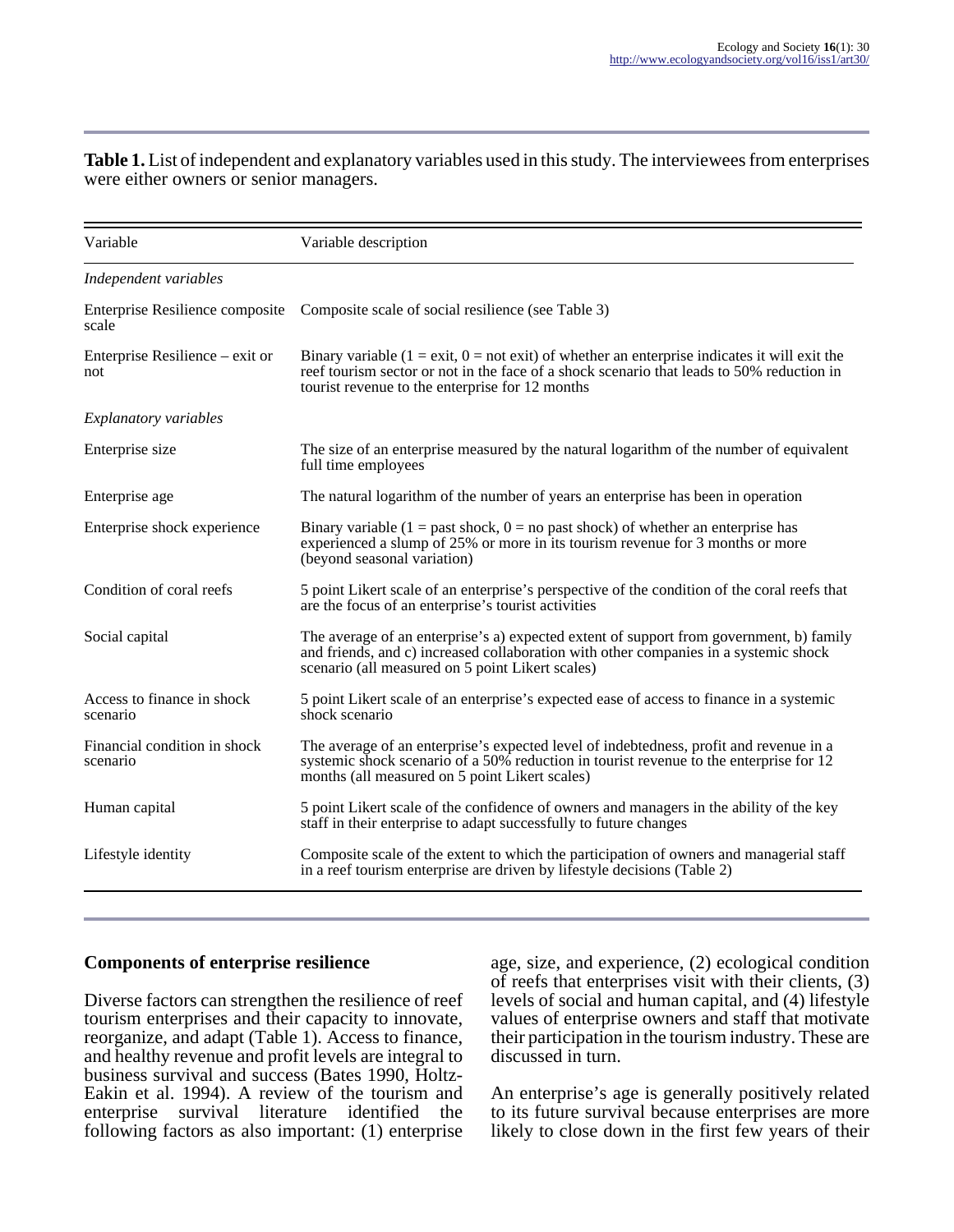| Table 1. List of independent and explanatory variables used in this study. The interviewees from enterprises |  |  |
|--------------------------------------------------------------------------------------------------------------|--|--|
| were either owners or senior managers.                                                                       |  |  |

| Variable                                 | Variable description                                                                                                                                                                                                                           |
|------------------------------------------|------------------------------------------------------------------------------------------------------------------------------------------------------------------------------------------------------------------------------------------------|
| Independent variables                    |                                                                                                                                                                                                                                                |
| Enterprise Resilience composite<br>scale | Composite scale of social resilience (see Table 3)                                                                                                                                                                                             |
| Enterprise Resilience – exit or<br>not   | Binary variable $(1 = exit, 0 = not exit)$ of whether an enterprise indicates it will exit the<br>reef tourism sector or not in the face of a shock scenario that leads to 50% reduction in<br>tourist revenue to the enterprise for 12 months |
| Explanatory variables                    |                                                                                                                                                                                                                                                |
| Enterprise size                          | The size of an enterprise measured by the natural logarithm of the number of equivalent<br>full time employees                                                                                                                                 |
| Enterprise age                           | The natural logarithm of the number of years an enterprise has been in operation                                                                                                                                                               |
| Enterprise shock experience              | Binary variable (1 = past shock, 0 = no past shock) of whether an enterprise has<br>experienced a slump of 25% or more in its tourism revenue for 3 months or more<br>(beyond seasonal variation)                                              |
| Condition of coral reefs                 | 5 point Likert scale of an enterprise's perspective of the condition of the coral reefs that<br>are the focus of an enterprise's tourist activities                                                                                            |
| Social capital                           | The average of an enterprise's a) expected extent of support from government, b) family<br>and friends, and c) increased collaboration with other companies in a systemic shock<br>scenario (all measured on 5 point Likert scales)            |
| Access to finance in shock<br>scenario   | 5 point Likert scale of an enterprise's expected ease of access to finance in a systemic<br>shock scenario                                                                                                                                     |
| Financial condition in shock<br>scenario | The average of an enterprise's expected level of indebtedness, profit and revenue in a<br>systemic shock scenario of a 50% reduction in tourist revenue to the enterprise for 12<br>months (all measured on 5 point Likert scales)             |
| Human capital                            | 5 point Likert scale of the confidence of owners and managers in the ability of the key<br>staff in their enterprise to adapt successfully to future changes                                                                                   |
| Lifestyle identity                       | Composite scale of the extent to which the participation of owners and managerial staff<br>in a reef tourism enterprise are driven by lifestyle decisions (Table 2)                                                                            |

# **Components of enterprise resilience**

Diverse factors can strengthen the resilience of reef tourism enterprises and their capacity to innovate, reorganize, and adapt (Table 1). Access to finance, and healthy revenue and profit levels are integral to business survival and success (Bates 1990, Holtz-Eakin et al. 1994). A review of the tourism and enterprise survival literature identified the following factors as also important: (1) enterprise

age, size, and experience, (2) ecological condition of reefs that enterprises visit with their clients, (3) levels of social and human capital, and (4) lifestyle values of enterprise owners and staff that motivate their participation in the tourism industry. These are discussed in turn.

An enterprise's age is generally positively related to its future survival because enterprises are more likely to close down in the first few years of their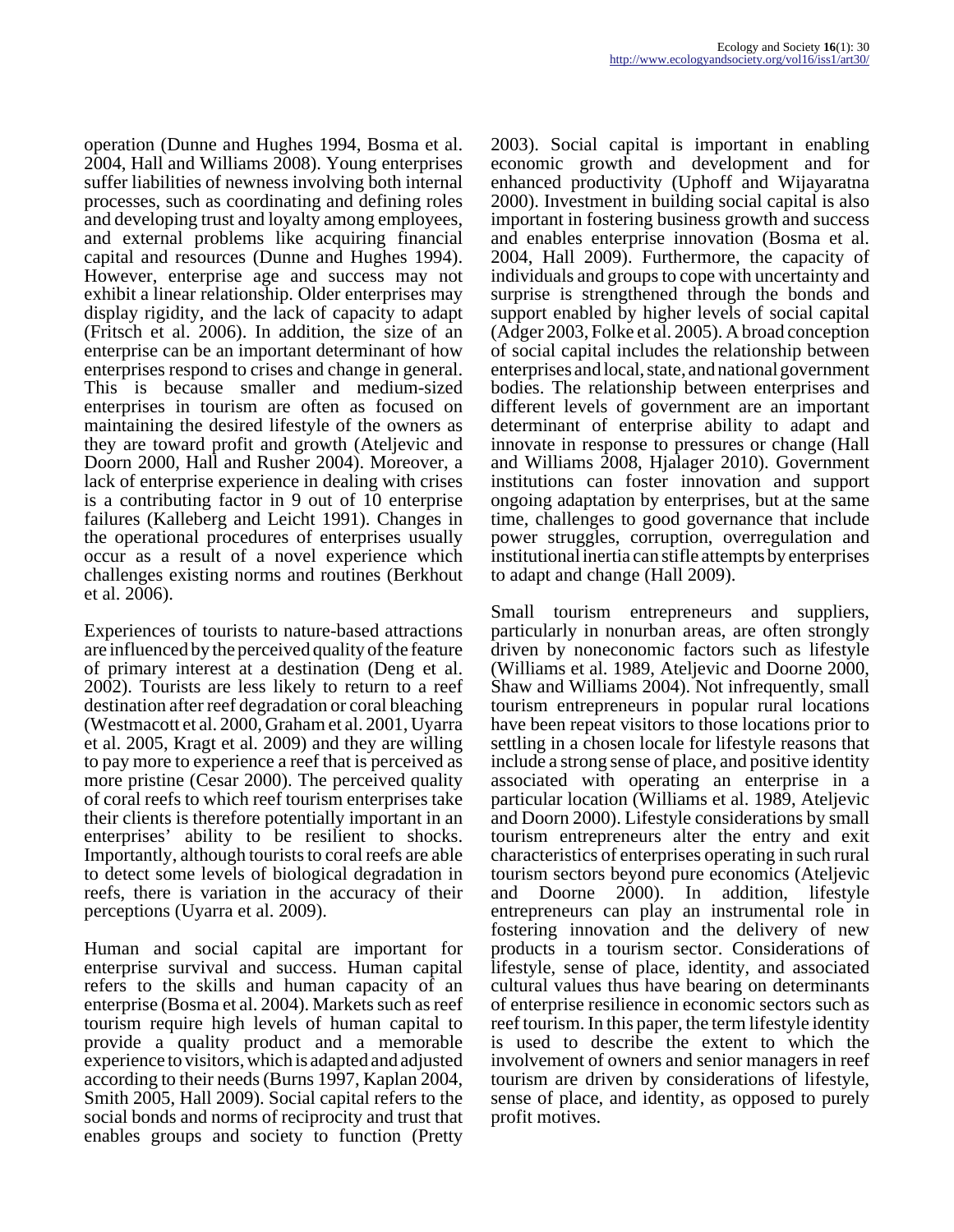operation (Dunne and Hughes 1994, Bosma et al. 2004, Hall and Williams 2008). Young enterprises suffer liabilities of newness involving both internal processes, such as coordinating and defining roles and developing trust and loyalty among employees, and external problems like acquiring financial capital and resources (Dunne and Hughes 1994). However, enterprise age and success may not exhibit a linear relationship. Older enterprises may display rigidity, and the lack of capacity to adapt (Fritsch et al. 2006). In addition, the size of an enterprise can be an important determinant of how enterprises respond to crises and change in general. This is because smaller and medium-sized enterprises in tourism are often as focused on maintaining the desired lifestyle of the owners as they are toward profit and growth (Ateljevic and Doorn 2000, Hall and Rusher 2004). Moreover, a lack of enterprise experience in dealing with crises is a contributing factor in 9 out of 10 enterprise failures (Kalleberg and Leicht 1991). Changes in the operational procedures of enterprises usually occur as a result of a novel experience which challenges existing norms and routines (Berkhout et al. 2006).

Experiences of tourists to nature-based attractions are influenced by the perceived quality of the feature of primary interest at a destination (Deng et al. 2002). Tourists are less likely to return to a reef destination after reef degradation or coral bleaching (Westmacott et al. 2000, Graham et al. 2001, Uyarra et al. 2005, Kragt et al. 2009) and they are willing to pay more to experience a reef that is perceived as more pristine (Cesar 2000). The perceived quality of coral reefs to which reef tourism enterprises take their clients is therefore potentially important in an enterprises' ability to be resilient to shocks. Importantly, although tourists to coral reefs are able to detect some levels of biological degradation in reefs, there is variation in the accuracy of their perceptions (Uyarra et al. 2009).

Human and social capital are important for enterprise survival and success. Human capital refers to the skills and human capacity of an enterprise (Bosma et al. 2004). Markets such as reef tourism require high levels of human capital to provide a quality product and a memorable experience to visitors, which is adapted and adjusted according to their needs (Burns 1997, Kaplan 2004, Smith 2005, Hall 2009). Social capital refers to the social bonds and norms of reciprocity and trust that enables groups and society to function (Pretty

2003). Social capital is important in enabling economic growth and development and for enhanced productivity (Uphoff and Wijayaratna 2000). Investment in building social capital is also important in fostering business growth and success and enables enterprise innovation (Bosma et al. 2004, Hall 2009). Furthermore, the capacity of individuals and groups to cope with uncertainty and surprise is strengthened through the bonds and support enabled by higher levels of social capital (Adger 2003, Folke et al. 2005). A broad conception of social capital includes the relationship between enterprises and local, state, and national government bodies. The relationship between enterprises and different levels of government are an important determinant of enterprise ability to adapt and innovate in response to pressures or change (Hall and Williams 2008, Hjalager 2010). Government institutions can foster innovation and support ongoing adaptation by enterprises, but at the same time, challenges to good governance that include power struggles, corruption, overregulation and institutional inertia can stifle attempts by enterprises to adapt and change (Hall 2009).

Small tourism entrepreneurs and suppliers, particularly in nonurban areas, are often strongly driven by noneconomic factors such as lifestyle (Williams et al. 1989, Ateljevic and Doorne 2000, Shaw and Williams 2004). Not infrequently, small tourism entrepreneurs in popular rural locations have been repeat visitors to those locations prior to settling in a chosen locale for lifestyle reasons that include a strong sense of place, and positive identity associated with operating an enterprise in a particular location (Williams et al. 1989, Ateljevic and Doorn 2000). Lifestyle considerations by small tourism entrepreneurs alter the entry and exit characteristics of enterprises operating in such rural tourism sectors beyond pure economics (Ateljevic and Doorne 2000). In addition, lifestyle entrepreneurs can play an instrumental role in fostering innovation and the delivery of new products in a tourism sector. Considerations of lifestyle, sense of place, identity, and associated cultural values thus have bearing on determinants of enterprise resilience in economic sectors such as reef tourism. In this paper, the term lifestyle identity is used to describe the extent to which the involvement of owners and senior managers in reef tourism are driven by considerations of lifestyle, sense of place, and identity, as opposed to purely profit motives.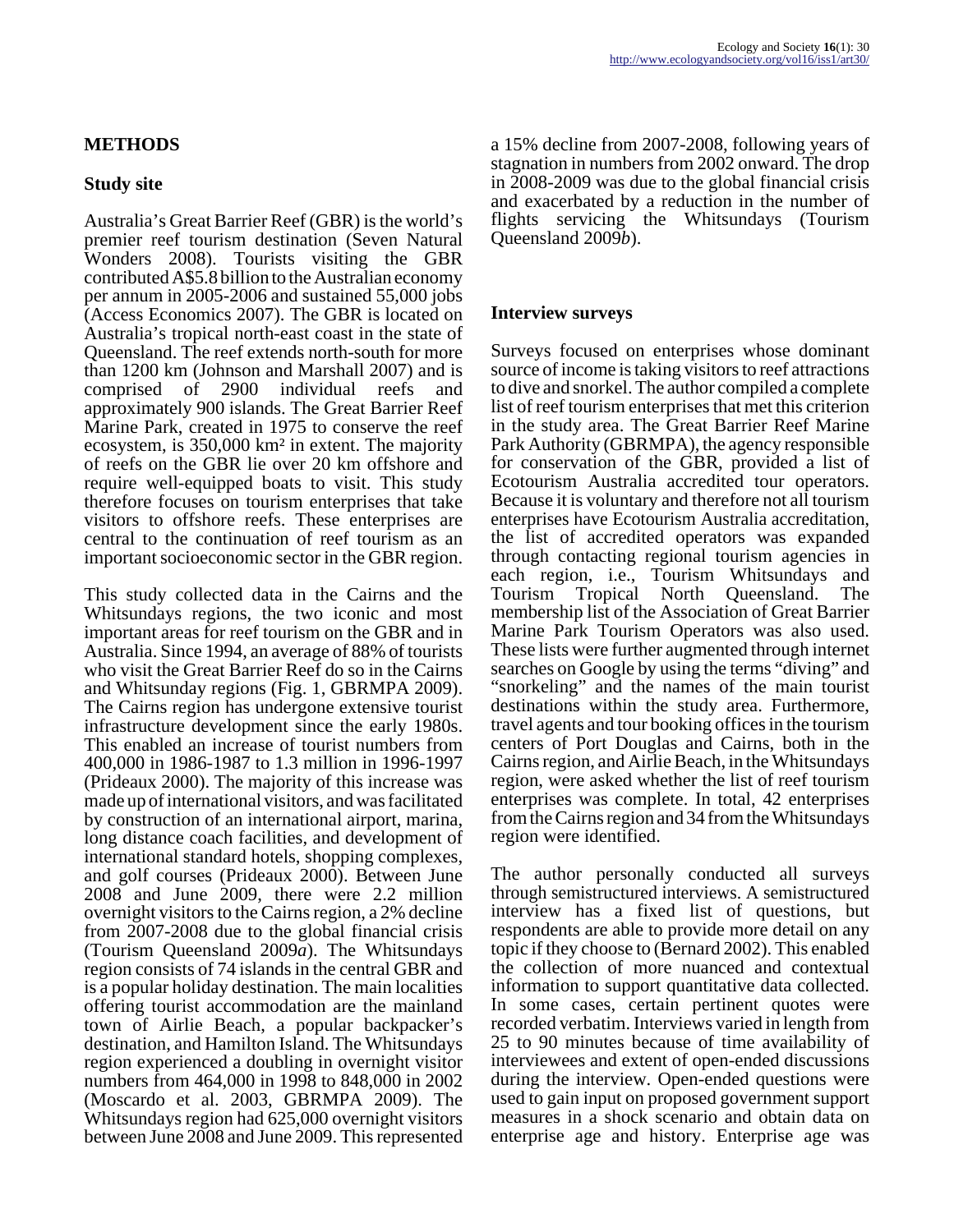#### **Study site**

Australia's Great Barrier Reef (GBR) is the world's premier reef tourism destination (Seven Natural Wonders 2008). Tourists visiting the GBR contributed A\$5.8 billion to the Australian economy per annum in 2005-2006 and sustained 55,000 jobs (Access Economics 2007). The GBR is located on Australia's tropical north-east coast in the state of Queensland. The reef extends north-south for more than 1200 km (Johnson and Marshall 2007) and is comprised of 2900 individual reefs and approximately 900 islands. The Great Barrier Reef Marine Park, created in 1975 to conserve the reef ecosystem, is 350,000 km² in extent. The majority of reefs on the GBR lie over 20 km offshore and require well-equipped boats to visit. This study therefore focuses on tourism enterprises that take visitors to offshore reefs. These enterprises are central to the continuation of reef tourism as an important socioeconomic sector in the GBR region.

This study collected data in the Cairns and the Whitsundays regions, the two iconic and most important areas for reef tourism on the GBR and in Australia. Since 1994, an average of 88% of tourists who visit the Great Barrier Reef do so in the Cairns and Whitsunday regions (Fig. 1, GBRMPA 2009). The Cairns region has undergone extensive tourist infrastructure development since the early 1980s. This enabled an increase of tourist numbers from 400,000 in 1986-1987 to 1.3 million in 1996-1997 (Prideaux 2000). The majority of this increase was made up of international visitors, and was facilitated by construction of an international airport, marina, long distance coach facilities, and development of international standard hotels, shopping complexes, and golf courses (Prideaux 2000). Between June 2008 and June 2009, there were 2.2 million overnight visitors to the Cairns region, a 2% decline from 2007-2008 due to the global financial crisis (Tourism Queensland 2009*a*). The Whitsundays region consists of 74 islands in the central GBR and is a popular holiday destination. The main localities offering tourist accommodation are the mainland town of Airlie Beach, a popular backpacker's destination, and Hamilton Island. The Whitsundays region experienced a doubling in overnight visitor numbers from 464,000 in 1998 to 848,000 in 2002 (Moscardo et al. 2003, GBRMPA 2009). The Whitsundays region had 625,000 overnight visitors between June 2008 and June 2009. This represented

a 15% decline from 2007-2008, following years of stagnation in numbers from 2002 onward. The drop in 2008-2009 was due to the global financial crisis and exacerbated by a reduction in the number of flights servicing the Whitsundays (Tourism Queensland 2009*b*).

#### **Interview surveys**

Surveys focused on enterprises whose dominant source of income is taking visitors to reef attractions to dive and snorkel. The author compiled a complete list of reef tourism enterprises that met this criterion in the study area. The Great Barrier Reef Marine Park Authority (GBRMPA), the agency responsible for conservation of the GBR, provided a list of Ecotourism Australia accredited tour operators. Because it is voluntary and therefore not all tourism enterprises have Ecotourism Australia accreditation, the list of accredited operators was expanded through contacting regional tourism agencies in each region, i.e., Tourism Whitsundays and<br>Tourism Tropical North Queensland. The Tropical North Queensland. The membership list of the Association of Great Barrier Marine Park Tourism Operators was also used. These lists were further augmented through internet searches on Google by using the terms "diving" and "snorkeling" and the names of the main tourist destinations within the study area. Furthermore, travel agents and tour booking offices in the tourism centers of Port Douglas and Cairns, both in the Cairns region, and Airlie Beach, in the Whitsundays region, were asked whether the list of reef tourism enterprises was complete. In total, 42 enterprises from the Cairns region and 34 from the Whitsundays region were identified.

The author personally conducted all surveys through semistructured interviews. A semistructured interview has a fixed list of questions, but respondents are able to provide more detail on any topic if they choose to (Bernard 2002). This enabled the collection of more nuanced and contextual information to support quantitative data collected. In some cases, certain pertinent quotes were recorded verbatim. Interviews varied in length from 25 to 90 minutes because of time availability of interviewees and extent of open-ended discussions during the interview. Open-ended questions were used to gain input on proposed government support measures in a shock scenario and obtain data on enterprise age and history. Enterprise age was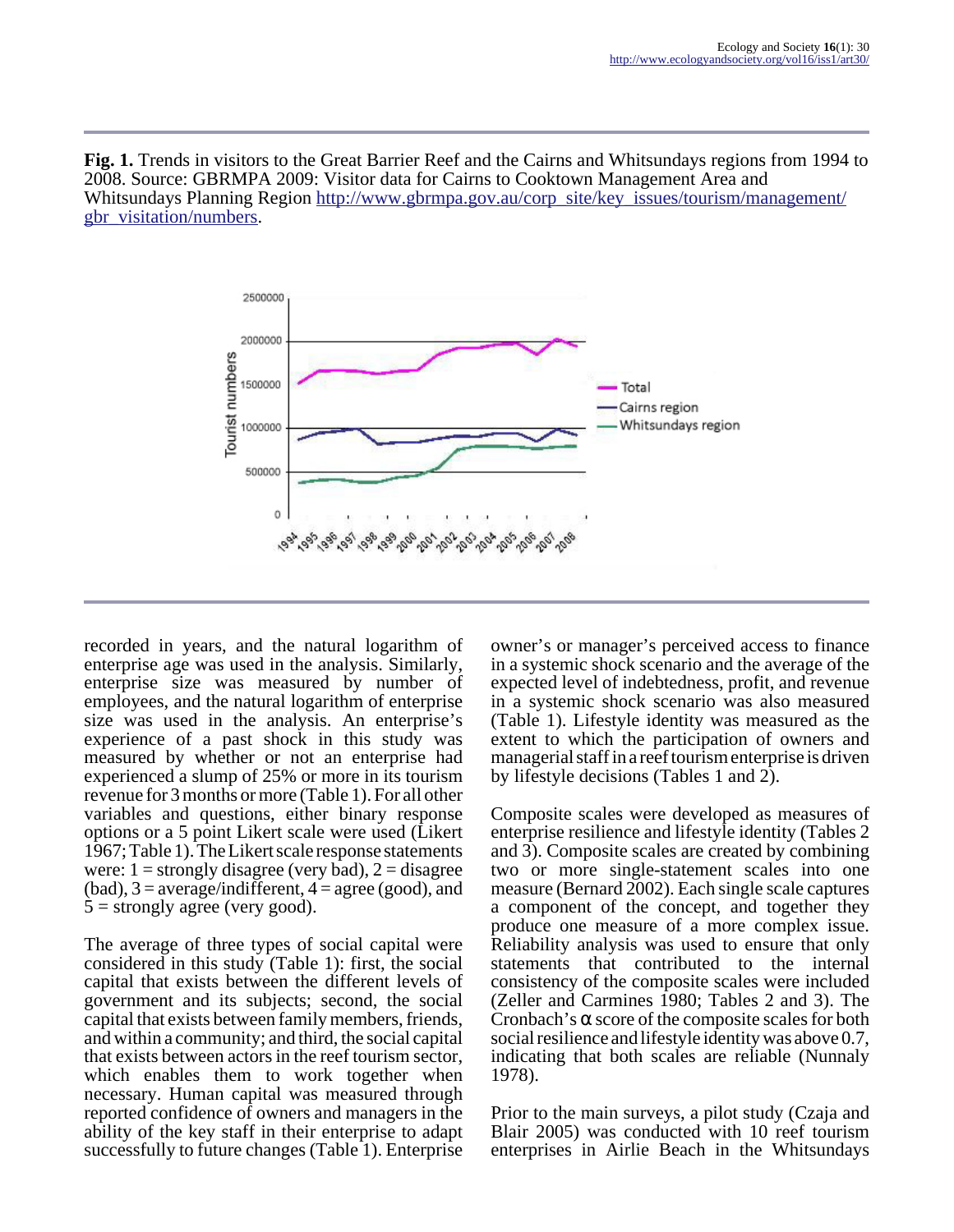**Fig. 1.** Trends in visitors to the Great Barrier Reef and the Cairns and Whitsundays regions from 1994 to 2008. Source: GBRMPA 2009: Visitor data for Cairns to Cooktown Management Area and Whitsundays Planning Region [http://www.gbrmpa.gov.au/corp\\_site/key\\_issues/tourism/management/](http://www.gbrmpa.gov.au/corp_site/key_issues/tourism/management/gbr_visitation/numbers) [gbr\\_visitation/numbers](http://www.gbrmpa.gov.au/corp_site/key_issues/tourism/management/gbr_visitation/numbers).



recorded in years, and the natural logarithm of enterprise age was used in the analysis. Similarly, enterprise size was measured by number of employees, and the natural logarithm of enterprise size was used in the analysis. An enterprise's experience of a past shock in this study was measured by whether or not an enterprise had experienced a slump of 25% or more in its tourism revenue for 3 months or more (Table 1). For all other variables and questions, either binary response options or a 5 point Likert scale were used (Likert 1967; Table 1). The Likert scale response statements were:  $1 =$  strongly disagree (very bad),  $2 =$  disagree  $(bad)$ ,  $3 = average/indifferent$ ,  $4 = agree (good)$ , and  $5 =$  strongly agree (very good).

The average of three types of social capital were considered in this study (Table 1): first, the social capital that exists between the different levels of government and its subjects; second, the social capital that exists between family members, friends, and within a community; and third, the social capital that exists between actors in the reef tourism sector, which enables them to work together when necessary. Human capital was measured through reported confidence of owners and managers in the ability of the key staff in their enterprise to adapt successfully to future changes (Table 1). Enterprise

owner's or manager's perceived access to finance in a systemic shock scenario and the average of the expected level of indebtedness, profit, and revenue in a systemic shock scenario was also measured (Table 1). Lifestyle identity was measured as the extent to which the participation of owners and managerial staff in a reef tourism enterprise is driven by lifestyle decisions (Tables 1 and 2).

Composite scales were developed as measures of enterprise resilience and lifestyle identity (Tables 2 and 3). Composite scales are created by combining two or more single-statement scales into one measure (Bernard 2002). Each single scale captures a component of the concept, and together they produce one measure of a more complex issue. Reliability analysis was used to ensure that only statements that contributed to the internal consistency of the composite scales were included (Zeller and Carmines 1980; Tables 2 and 3). The Cronbach's  $\alpha$  score of the composite scales for both social resilience and lifestyle identity was above 0.7, indicating that both scales are reliable (Nunnaly 1978).

Prior to the main surveys, a pilot study (Czaja and Blair 2005) was conducted with 10 reef tourism enterprises in Airlie Beach in the Whitsundays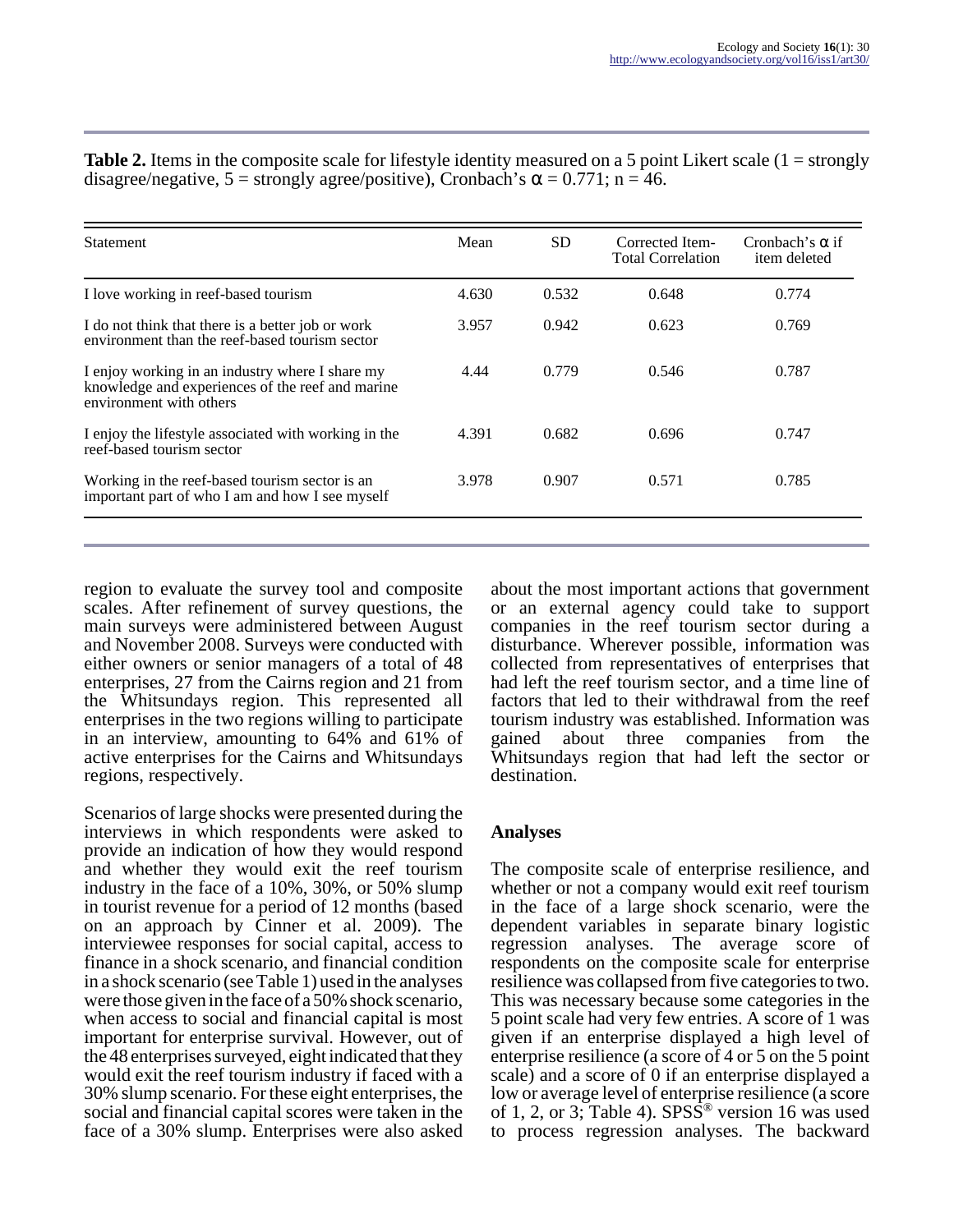| Mean  | <b>SD</b> | Corrected Item-<br><b>Total Correlation</b> | Cronbach's $\alpha$ if<br>item deleted |
|-------|-----------|---------------------------------------------|----------------------------------------|
| 4.630 | 0.532     | 0.648                                       | 0.774                                  |
| 3.957 | 0.942     | 0.623                                       | 0.769                                  |
| 4.44  | 0.779     | 0.546                                       | 0.787                                  |
| 4.391 | 0.682     | 0.696                                       | 0.747                                  |
| 3.978 | 0.907     | 0.571                                       | 0.785                                  |
|       |           |                                             |                                        |

**Table 2.** Items in the composite scale for lifestyle identity measured on a 5 point Likert scale (1 = strongly disagree/negative,  $5 =$  strongly agree/positive), Cronbach's  $\alpha = 0.771$ ; n = 46.

region to evaluate the survey tool and composite scales. After refinement of survey questions, the main surveys were administered between August and November 2008. Surveys were conducted with either owners or senior managers of a total of 48 enterprises, 27 from the Cairns region and 21 from the Whitsundays region. This represented all enterprises in the two regions willing to participate in an interview, amounting to 64% and 61% of active enterprises for the Cairns and Whitsundays regions, respectively.

Scenarios of large shocks were presented during the interviews in which respondents were asked to provide an indication of how they would respond and whether they would exit the reef tourism industry in the face of a 10%, 30%, or 50% slump in tourist revenue for a period of 12 months (based on an approach by Cinner et al. 2009). The interviewee responses for social capital, access to finance in a shock scenario, and financial condition in a shock scenario (see Table 1) used in the analyses were those given in the face of a 50% shock scenario, when access to social and financial capital is most important for enterprise survival. However, out of the 48 enterprises surveyed, eight indicated that they would exit the reef tourism industry if faced with a 30% slump scenario. For these eight enterprises, the social and financial capital scores were taken in the face of a 30% slump. Enterprises were also asked

about the most important actions that government or an external agency could take to support companies in the reef tourism sector during a disturbance. Wherever possible, information was collected from representatives of enterprises that had left the reef tourism sector, and a time line of factors that led to their withdrawal from the reef tourism industry was established. Information was gained about three companies from the Whitsundays region that had left the sector or destination.

## **Analyses**

The composite scale of enterprise resilience, and whether or not a company would exit reef tourism in the face of a large shock scenario, were the dependent variables in separate binary logistic regression analyses. The average score of respondents on the composite scale for enterprise resilience was collapsed from five categories to two. This was necessary because some categories in the 5 point scale had very few entries. A score of 1 was given if an enterprise displayed a high level of enterprise resilience (a score of 4 or 5 on the 5 point scale) and a score of 0 if an enterprise displayed a low or average level of enterprise resilience (a score of 1, 2, or 3; Table 4). SPSS<sup>®</sup> version 16 was used to process regression analyses. The backward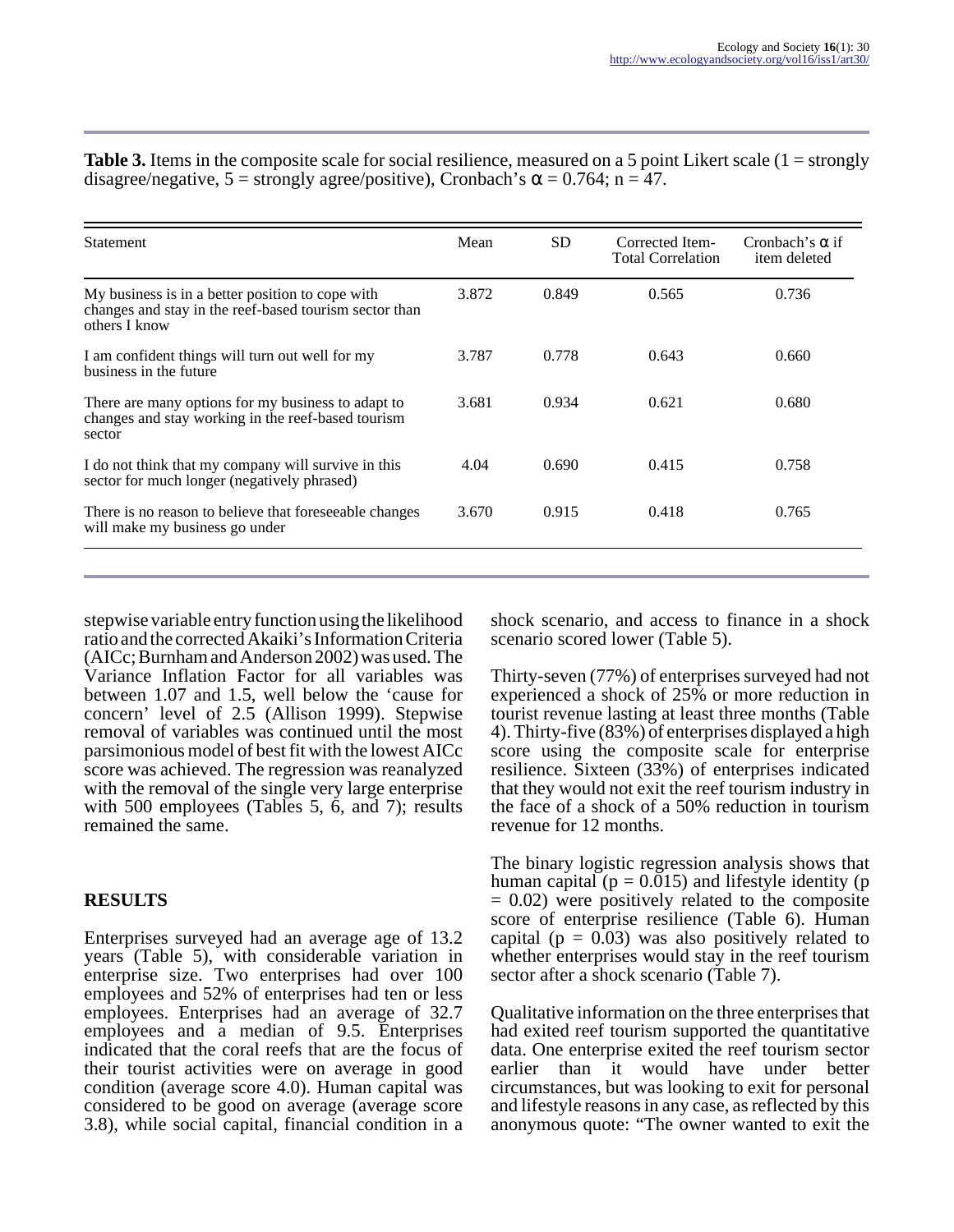| Mean  | <b>SD</b> | Corrected Item-<br><b>Total Correlation</b> | Cronbach's $\alpha$ if<br>item deleted |
|-------|-----------|---------------------------------------------|----------------------------------------|
| 3.872 | 0.849     | 0.565                                       | 0.736                                  |
| 3.787 | 0.778     | 0.643                                       | 0.660                                  |
| 3.681 | 0.934     | 0.621                                       | 0.680                                  |
| 4.04  | 0.690     | 0.415                                       | 0.758                                  |
| 3.670 | 0.915     | 0.418                                       | 0.765                                  |
|       |           |                                             |                                        |

**Table 3.** Items in the composite scale for social resilience, measured on a 5 point Likert scale (1 = strongly disagree/negative,  $5 =$  strongly agree/positive), Cronbach's  $\alpha = 0.764$ ; n = 47.

stepwise variable entry function using the likelihood ratio and the corrected Akaiki's Information Criteria (AICc; Burnham and Anderson 2002) was used. The Variance Inflation Factor for all variables was between 1.07 and 1.5, well below the 'cause for concern' level of 2.5 (Allison 1999). Stepwise removal of variables was continued until the most parsimonious model of best fit with the lowest AICc score was achieved. The regression was reanalyzed with the removal of the single very large enterprise with 500 employees (Tables 5, 6, and 7); results remained the same.

## **RESULTS**

Enterprises surveyed had an average age of 13.2 years (Table 5), with considerable variation in enterprise size. Two enterprises had over 100 employees and 52% of enterprises had ten or less employees. Enterprises had an average of 32.7 employees and a median of 9.5. Enterprises indicated that the coral reefs that are the focus of their tourist activities were on average in good condition (average score 4.0). Human capital was considered to be good on average (average score 3.8), while social capital, financial condition in a

shock scenario, and access to finance in a shock scenario scored lower (Table 5).

Thirty-seven (77%) of enterprises surveyed had not experienced a shock of 25% or more reduction in tourist revenue lasting at least three months (Table 4). Thirty-five (83%) of enterprises displayed a high score using the composite scale for enterprise resilience. Sixteen (33%) of enterprises indicated that they would not exit the reef tourism industry in the face of a shock of a 50% reduction in tourism revenue for 12 months.

The binary logistic regression analysis shows that human capital ( $p = 0.015$ ) and lifestyle identity ( $p = 0.015$ )  $= 0.02$ ) were positively related to the composite score of enterprise resilience (Table 6). Human capital ( $p = 0.03$ ) was also positively related to whether enterprises would stay in the reef tourism sector after a shock scenario (Table 7).

Qualitative information on the three enterprises that had exited reef tourism supported the quantitative data. One enterprise exited the reef tourism sector earlier than it would have under better circumstances, but was looking to exit for personal and lifestyle reasons in any case, as reflected by this anonymous quote: "The owner wanted to exit the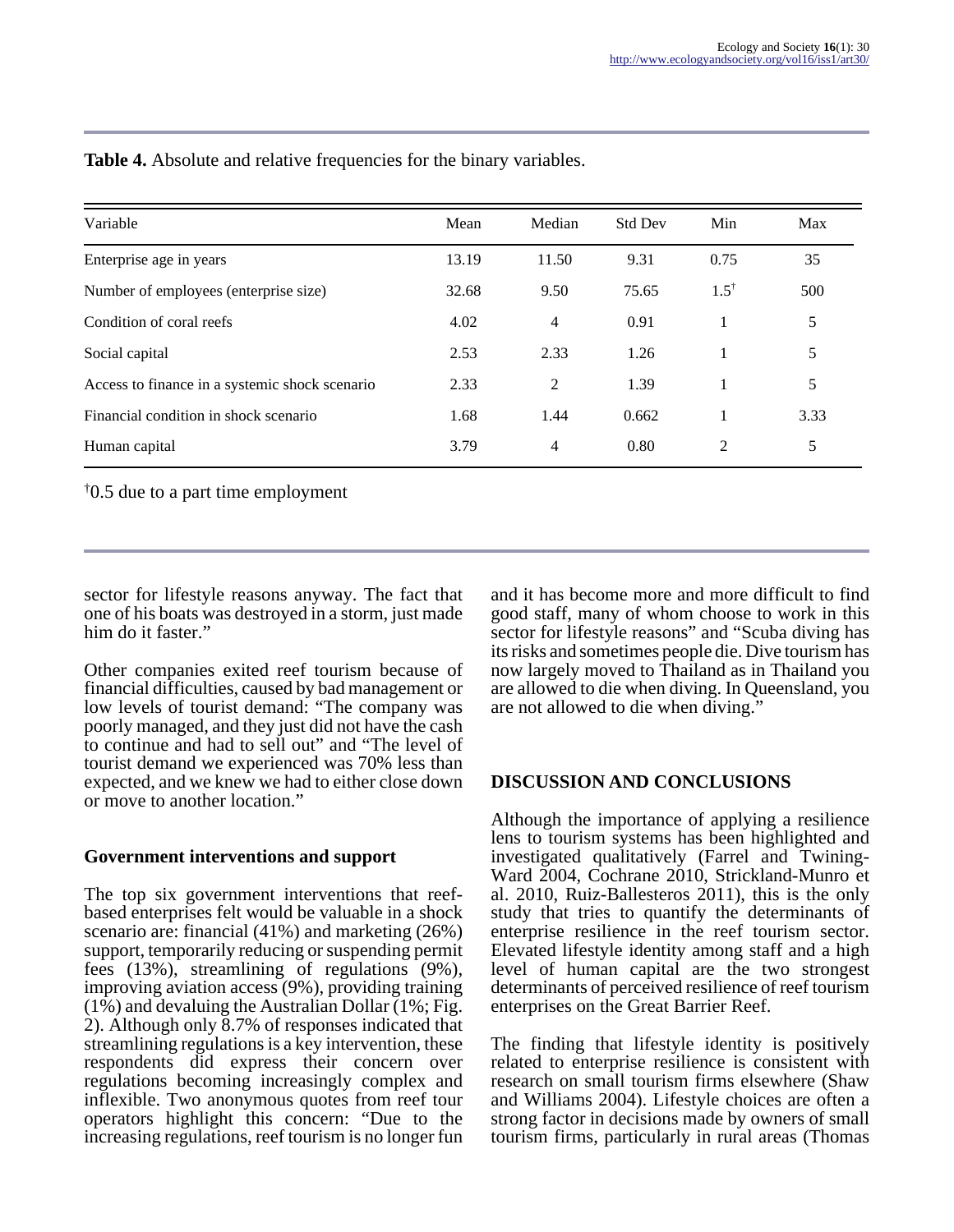| Variable                                       | Mean  | Median | <b>Std Dev</b> | Min             | Max  |
|------------------------------------------------|-------|--------|----------------|-----------------|------|
| Enterprise age in years                        | 13.19 | 11.50  | 9.31           | 0.75            | 35   |
| Number of employees (enterprise size)          | 32.68 | 9.50   | 75.65          | $1.5^{\dagger}$ | 500  |
| Condition of coral reefs                       | 4.02  | 4      | 0.91           | 1               | 5    |
| Social capital                                 | 2.53  | 2.33   | 1.26           | 1               | 5    |
| Access to finance in a systemic shock scenario | 2.33  | 2      | 1.39           | 1               | 5    |
| Financial condition in shock scenario          | 1.68  | 1.44   | 0.662          | 1               | 3.33 |
| Human capital                                  | 3.79  | 4      | 0.80           | 2               | 5    |

**Table 4.** Absolute and relative frequencies for the binary variables.

†0.5 due to a part time employment

sector for lifestyle reasons anyway. The fact that one of his boats was destroyed in a storm, just made him do it faster."

Other companies exited reef tourism because of financial difficulties, caused by bad management or low levels of tourist demand: "The company was poorly managed, and they just did not have the cash to continue and had to sell out" and "The level of tourist demand we experienced was 70% less than expected, and we knew we had to either close down or move to another location."

## **Government interventions and support**

The top six government interventions that reefbased enterprises felt would be valuable in a shock scenario are: financial (41%) and marketing (26%) support, temporarily reducing or suspending permit fees (13%), streamlining of regulations (9%), improving aviation access (9%), providing training (1%) and devaluing the Australian Dollar (1%; Fig. 2). Although only 8.7% of responses indicated that streamlining regulations is a key intervention, these respondents did express their concern over regulations becoming increasingly complex and inflexible. Two anonymous quotes from reef tour operators highlight this concern: "Due to the increasing regulations, reef tourism is no longer fun and it has become more and more difficult to find good staff, many of whom choose to work in this sector for lifestyle reasons" and "Scuba diving has its risks and sometimes people die. Dive tourism has now largely moved to Thailand as in Thailand you are allowed to die when diving. In Queensland, you are not allowed to die when diving."

## **DISCUSSION AND CONCLUSIONS**

Although the importance of applying a resilience lens to tourism systems has been highlighted and investigated qualitatively (Farrel and Twining-Ward 2004, Cochrane 2010, Strickland-Munro et al. 2010, Ruiz-Ballesteros 2011), this is the only study that tries to quantify the determinants of enterprise resilience in the reef tourism sector. Elevated lifestyle identity among staff and a high level of human capital are the two strongest determinants of perceived resilience of reef tourism enterprises on the Great Barrier Reef.

The finding that lifestyle identity is positively related to enterprise resilience is consistent with research on small tourism firms elsewhere (Shaw and Williams 2004). Lifestyle choices are often a strong factor in decisions made by owners of small tourism firms, particularly in rural areas (Thomas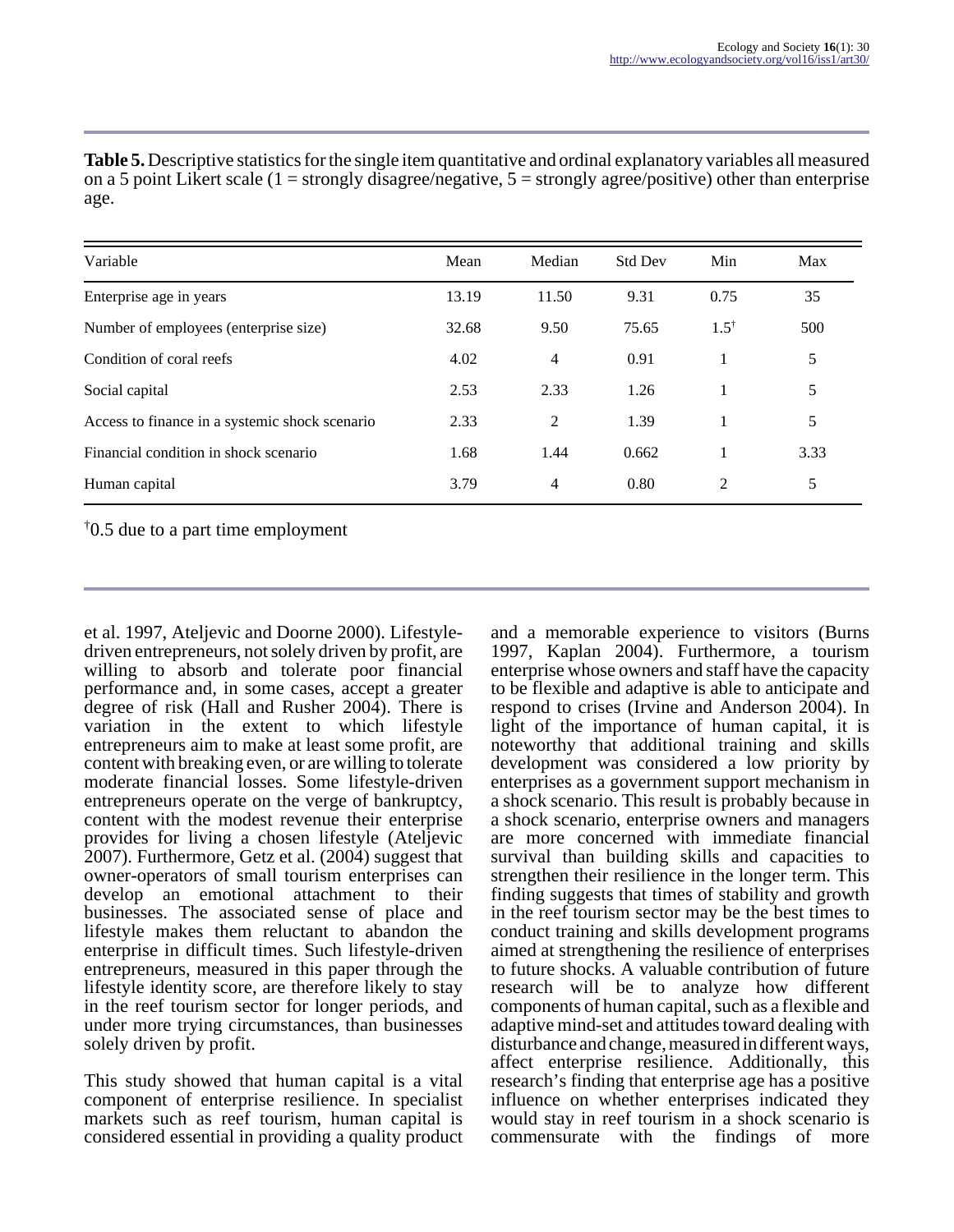| Variable                                       | Mean  | Median         | <b>Std Dev</b> | Min             | Max  |
|------------------------------------------------|-------|----------------|----------------|-----------------|------|
| Enterprise age in years                        | 13.19 | 11.50          | 9.31           | 0.75            | 35   |
| Number of employees (enterprise size)          | 32.68 | 9.50           | 75.65          | $1.5^{\dagger}$ | 500  |
| Condition of coral reefs                       | 4.02  | $\overline{4}$ | 0.91           |                 | 5    |
| Social capital                                 | 2.53  | 2.33           | 1.26           |                 | 5    |
| Access to finance in a systemic shock scenario | 2.33  | 2              | 1.39           |                 | 5    |
| Financial condition in shock scenario          | 1.68  | 1.44           | 0.662          |                 | 3.33 |
| Human capital                                  | 3.79  | 4              | 0.80           | 2               | 5    |

**Table 5.** Descriptive statistics for the single item quantitative and ordinal explanatory variables all measured on a 5 point Likert scale (1 = strongly disagree/negative,  $5$  = strongly agree/positive) other than enterprise age.

†0.5 due to a part time employment

et al. 1997, Ateljevic and Doorne 2000). Lifestyledriven entrepreneurs, not solely driven by profit, are willing to absorb and tolerate poor financial performance and, in some cases, accept a greater degree of risk (Hall and Rusher 2004). There is variation in the extent to which lifestyle entrepreneurs aim to make at least some profit, are content with breaking even, or are willing to tolerate moderate financial losses. Some lifestyle-driven entrepreneurs operate on the verge of bankruptcy, content with the modest revenue their enterprise provides for living a chosen lifestyle (Ateljevic 2007). Furthermore, Getz et al. (2004) suggest that owner-operators of small tourism enterprises can develop an emotional attachment to their businesses. The associated sense of place and lifestyle makes them reluctant to abandon the enterprise in difficult times. Such lifestyle-driven entrepreneurs, measured in this paper through the lifestyle identity score, are therefore likely to stay in the reef tourism sector for longer periods, and under more trying circumstances, than businesses solely driven by profit.

This study showed that human capital is a vital component of enterprise resilience. In specialist markets such as reef tourism, human capital is considered essential in providing a quality product and a memorable experience to visitors (Burns 1997, Kaplan 2004). Furthermore, a tourism enterprise whose owners and staff have the capacity to be flexible and adaptive is able to anticipate and respond to crises (Irvine and Anderson 2004). In light of the importance of human capital, it is noteworthy that additional training and skills development was considered a low priority by enterprises as a government support mechanism in a shock scenario. This result is probably because in a shock scenario, enterprise owners and managers are more concerned with immediate financial survival than building skills and capacities to strengthen their resilience in the longer term. This finding suggests that times of stability and growth in the reef tourism sector may be the best times to conduct training and skills development programs aimed at strengthening the resilience of enterprises to future shocks. A valuable contribution of future research will be to analyze how different components of human capital, such as a flexible and adaptive mind-set and attitudes toward dealing with disturbance and change, measured in different ways, affect enterprise resilience. Additionally, this research's finding that enterprise age has a positive influence on whether enterprises indicated they would stay in reef tourism in a shock scenario is commensurate with the findings of more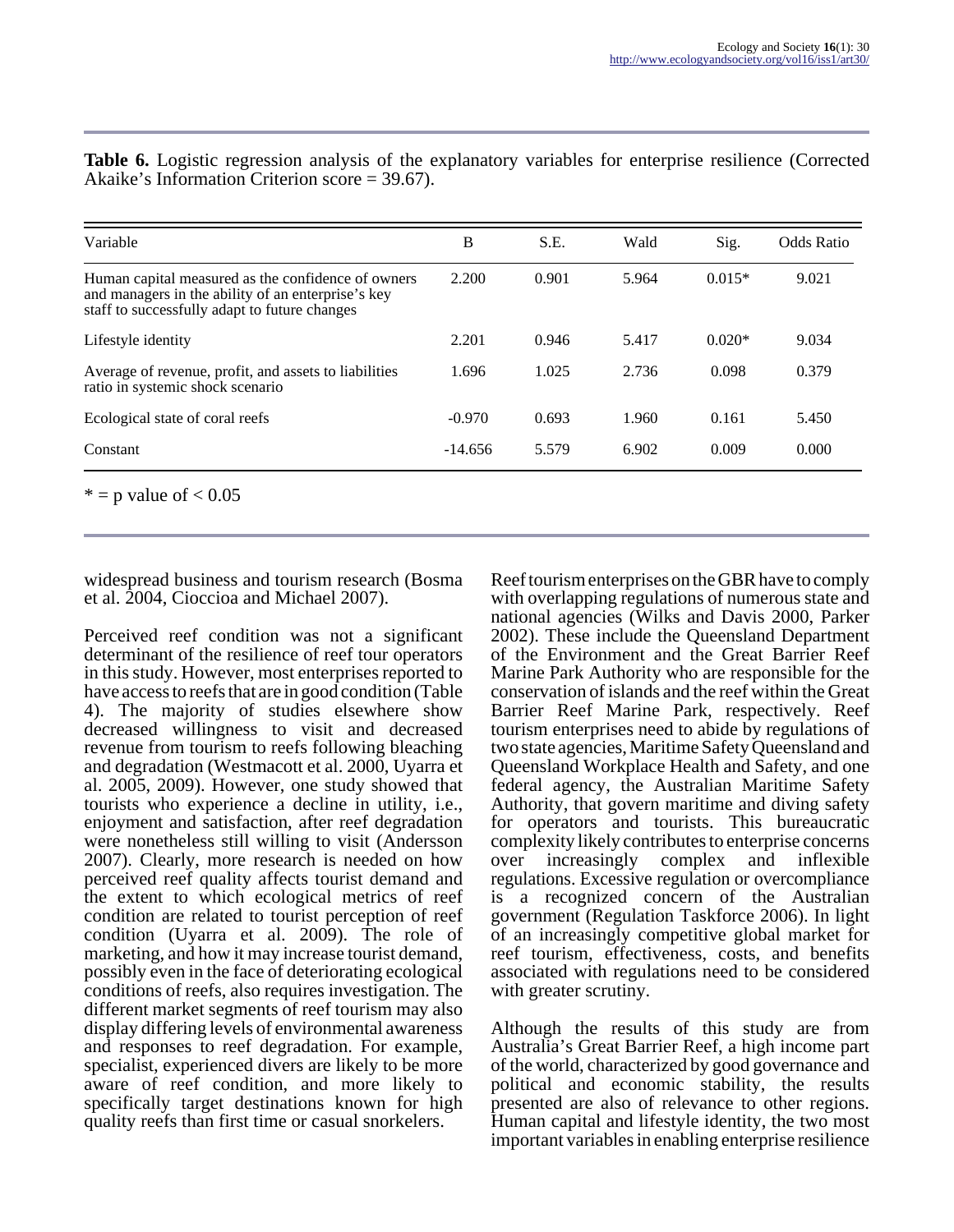| Variable                                                                                                                                                  | B         | S.E.  | Wald  | Sig.     | <b>Odds Ratio</b> |
|-----------------------------------------------------------------------------------------------------------------------------------------------------------|-----------|-------|-------|----------|-------------------|
| Human capital measured as the confidence of owners<br>and managers in the ability of an enterprise's key<br>staff to successfully adapt to future changes | 2.200     | 0.901 | 5.964 | $0.015*$ | 9.021             |
| Lifestyle identity                                                                                                                                        | 2.201     | 0.946 | 5.417 | $0.020*$ | 9.034             |
| Average of revenue, profit, and assets to liabilities<br>ratio in systemic shock scenario                                                                 | 1.696     | 1.025 | 2.736 | 0.098    | 0.379             |
| Ecological state of coral reefs                                                                                                                           | $-0.970$  | 0.693 | 1.960 | 0.161    | 5.450             |
| Constant                                                                                                                                                  | $-14.656$ | 5.579 | 6.902 | 0.009    | 0.000             |

**Table 6.** Logistic regression analysis of the explanatory variables for enterprise resilience (Corrected Akaike's Information Criterion score = 39.67).

widespread business and tourism research (Bosma et al. 2004, Cioccioa and Michael 2007).

Perceived reef condition was not a significant determinant of the resilience of reef tour operators in this study. However, most enterprises reported to have access to reefs that are in good condition (Table 4). The majority of studies elsewhere show decreased willingness to visit and decreased revenue from tourism to reefs following bleaching and degradation (Westmacott et al. 2000, Uyarra et al. 2005, 2009). However, one study showed that tourists who experience a decline in utility, i.e., enjoyment and satisfaction, after reef degradation were nonetheless still willing to visit (Andersson 2007). Clearly, more research is needed on how perceived reef quality affects tourist demand and the extent to which ecological metrics of reef condition are related to tourist perception of reef condition (Uyarra et al. 2009). The role of marketing, and how it may increase tourist demand, possibly even in the face of deteriorating ecological conditions of reefs, also requires investigation. The different market segments of reef tourism may also display differing levels of environmental awareness and responses to reef degradation. For example, specialist, experienced divers are likely to be more aware of reef condition, and more likely to specifically target destinations known for high quality reefs than first time or casual snorkelers.

Reef tourism enterprises on the GBR have to comply with overlapping regulations of numerous state and national agencies (Wilks and Davis 2000, Parker 2002). These include the Queensland Department of the Environment and the Great Barrier Reef Marine Park Authority who are responsible for the conservation of islands and the reef within the Great Barrier Reef Marine Park, respectively. Reef tourism enterprises need to abide by regulations of two state agencies, Maritime Safety Queensland and Queensland Workplace Health and Safety, and one federal agency, the Australian Maritime Safety Authority, that govern maritime and diving safety for operators and tourists. This bureaucratic complexity likely contributes to enterprise concerns over increasingly complex and inflexible regulations. Excessive regulation or overcompliance is a recognized concern of the Australian government (Regulation Taskforce 2006). In light of an increasingly competitive global market for reef tourism, effectiveness, costs, and benefits associated with regulations need to be considered with greater scrutiny.

Although the results of this study are from Australia's Great Barrier Reef, a high income part of the world, characterized by good governance and political and economic stability, the results presented are also of relevance to other regions. Human capital and lifestyle identity, the two most important variables in enabling enterprise resilience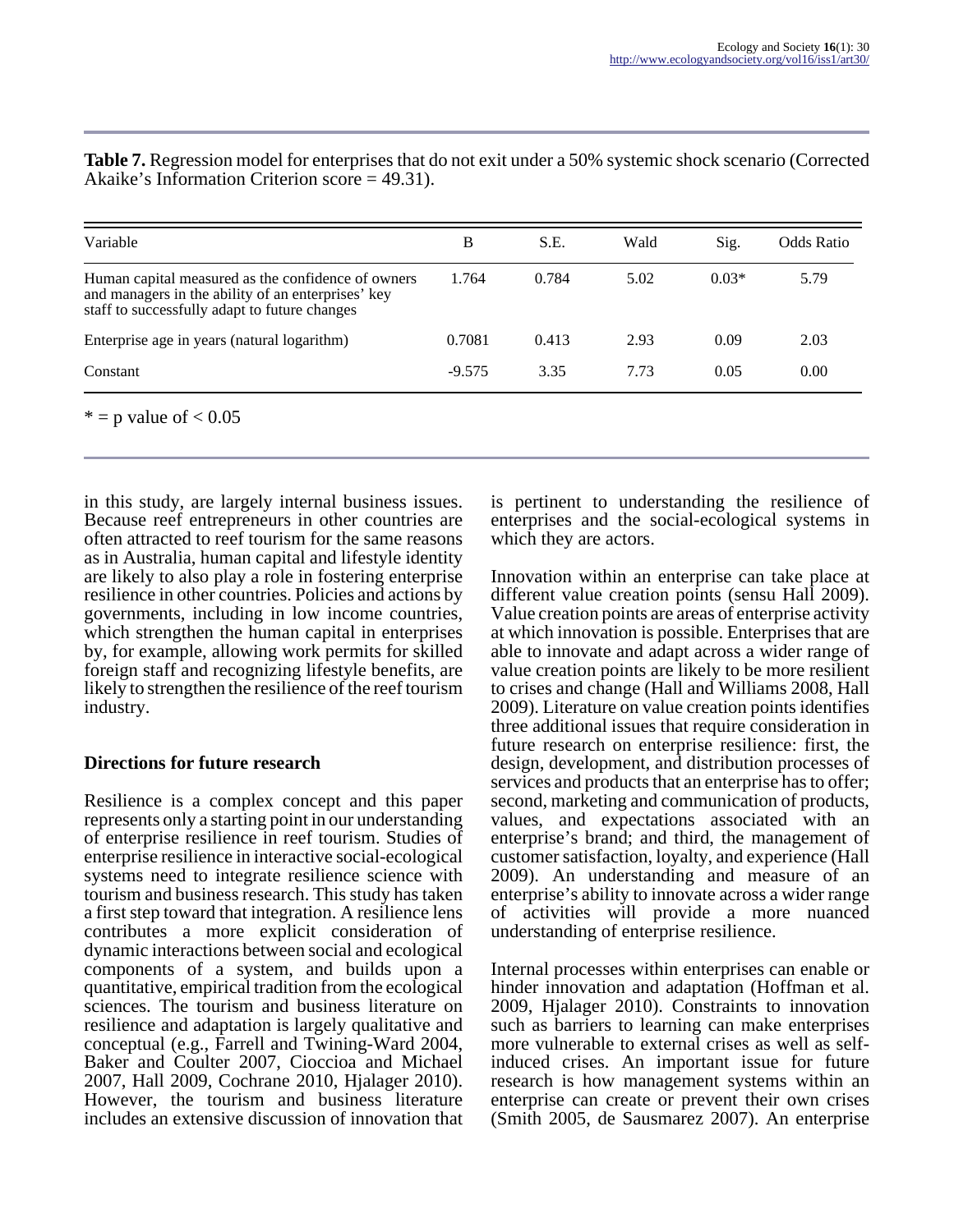| Variable                                                                                                                                                  | B        | S.E.  | Wald | Sig.    | <b>Odds Ratio</b> |
|-----------------------------------------------------------------------------------------------------------------------------------------------------------|----------|-------|------|---------|-------------------|
| Human capital measured as the confidence of owners<br>and managers in the ability of an enterprises' key<br>staff to successfully adapt to future changes | 1.764    | 0.784 | 5.02 | $0.03*$ | 5.79              |
| Enterprise age in years (natural logarithm)                                                                                                               | 0.7081   | 0.413 | 2.93 | 0.09    | 2.03              |
| Constant                                                                                                                                                  | $-9.575$ | 3.35  | 7.73 | 0.05    | 0.00              |

**Table 7.** Regression model for enterprises that do not exit under a 50% systemic shock scenario (Corrected Akaike's Information Criterion score = 49.31).

in this study, are largely internal business issues. Because reef entrepreneurs in other countries are often attracted to reef tourism for the same reasons as in Australia, human capital and lifestyle identity are likely to also play a role in fostering enterprise resilience in other countries. Policies and actions by governments, including in low income countries, which strengthen the human capital in enterprises by, for example, allowing work permits for skilled foreign staff and recognizing lifestyle benefits, are likely to strengthen the resilience of the reef tourism

## **Directions for future research**

industry.

Resilience is a complex concept and this paper represents only a starting point in our understanding of enterprise resilience in reef tourism. Studies of enterprise resilience in interactive social-ecological systems need to integrate resilience science with tourism and business research. This study has taken a first step toward that integration. A resilience lens contributes a more explicit consideration of dynamic interactions between social and ecological components of a system, and builds upon a quantitative, empirical tradition from the ecological sciences. The tourism and business literature on resilience and adaptation is largely qualitative and conceptual (e.g., Farrell and Twining-Ward 2004, Baker and Coulter 2007, Cioccioa and Michael 2007, Hall 2009, Cochrane 2010, Hjalager 2010). However, the tourism and business literature includes an extensive discussion of innovation that

is pertinent to understanding the resilience of enterprises and the social-ecological systems in which they are actors.

Innovation within an enterprise can take place at different value creation points (sensu Hall 2009). Value creation points are areas of enterprise activity at which innovation is possible. Enterprises that are able to innovate and adapt across a wider range of value creation points are likely to be more resilient to crises and change (Hall and Williams 2008, Hall 2009). Literature on value creation points identifies three additional issues that require consideration in future research on enterprise resilience: first, the design, development, and distribution processes of services and products that an enterprise has to offer; second, marketing and communication of products, values, and expectations associated with an enterprise's brand; and third, the management of customer satisfaction, loyalty, and experience (Hall 2009). An understanding and measure of an enterprise's ability to innovate across a wider range of activities will provide a more nuanced understanding of enterprise resilience.

Internal processes within enterprises can enable or hinder innovation and adaptation (Hoffman et al. 2009, Hjalager 2010). Constraints to innovation such as barriers to learning can make enterprises more vulnerable to external crises as well as selfinduced crises. An important issue for future research is how management systems within an enterprise can create or prevent their own crises (Smith 2005, de Sausmarez 2007). An enterprise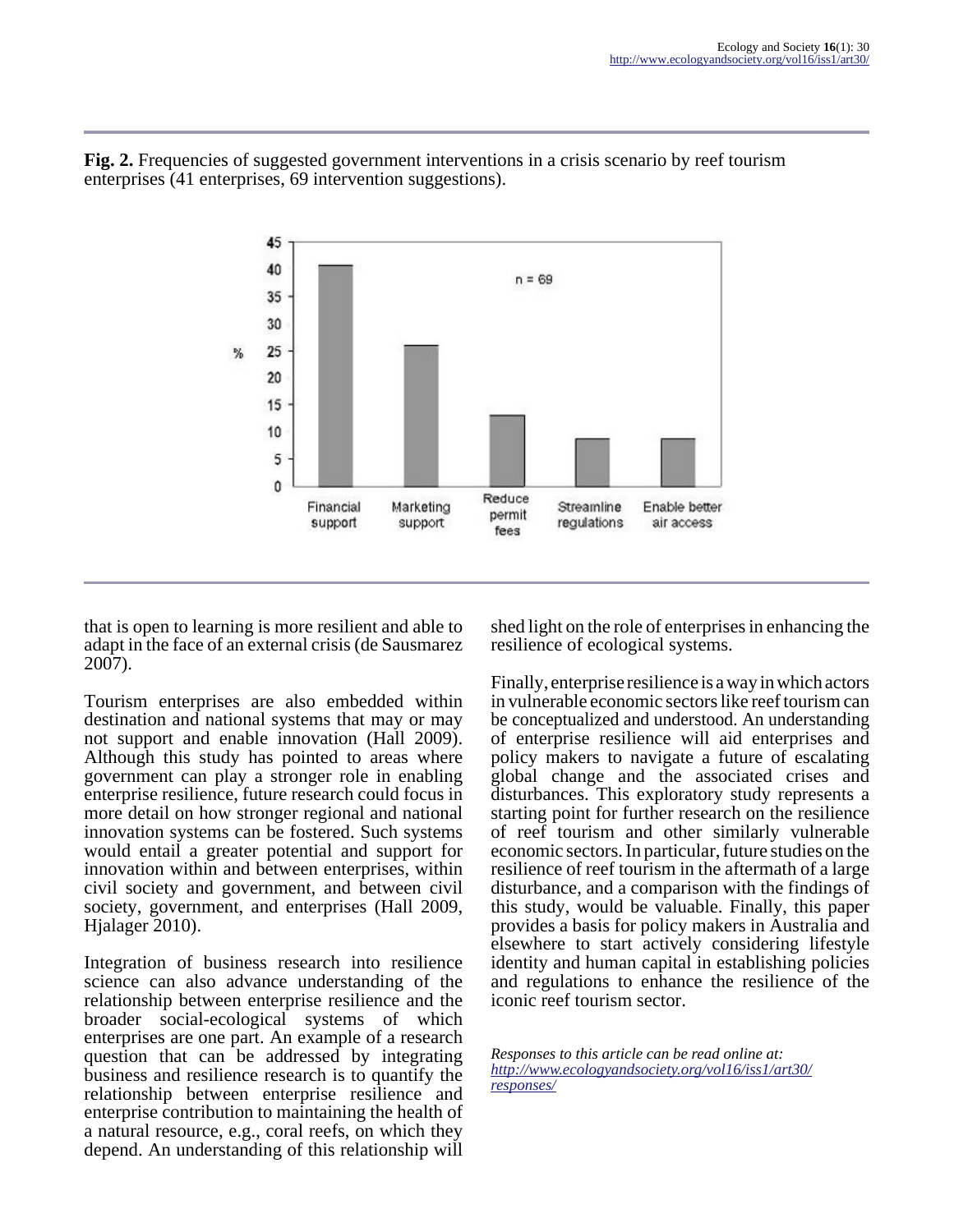

Fig. 2. Frequencies of suggested government interventions in a crisis scenario by reef tourism enterprises (41 enterprises, 69 intervention suggestions).

that is open to learning is more resilient and able to adapt in the face of an external crisis (de Sausmarez 2007).

Tourism enterprises are also embedded within destination and national systems that may or may not support and enable innovation (Hall 2009). Although this study has pointed to areas where government can play a stronger role in enabling enterprise resilience, future research could focus in more detail on how stronger regional and national innovation systems can be fostered. Such systems would entail a greater potential and support for innovation within and between enterprises, within civil society and government, and between civil society, government, and enterprises (Hall 2009, Hjalager 2010).

Integration of business research into resilience science can also advance understanding of the relationship between enterprise resilience and the broader social-ecological systems of which enterprises are one part. An example of a research question that can be addressed by integrating business and resilience research is to quantify the relationship between enterprise resilience and enterprise contribution to maintaining the health of a natural resource, e.g., coral reefs, on which they depend. An understanding of this relationship will shed light on the role of enterprises in enhancing the resilience of ecological systems.

Finally, enterprise resilience is a way in which actors in vulnerable economic sectors like reef tourism can be conceptualized and understood. An understanding of enterprise resilience will aid enterprises and policy makers to navigate a future of escalating global change and the associated crises and disturbances. This exploratory study represents a starting point for further research on the resilience of reef tourism and other similarly vulnerable economic sectors. In particular, future studies on the resilience of reef tourism in the aftermath of a large disturbance, and a comparison with the findings of this study, would be valuable. Finally, this paper provides a basis for policy makers in Australia and elsewhere to start actively considering lifestyle identity and human capital in establishing policies and regulations to enhance the resilience of the iconic reef tourism sector.

*Responses to this article can be read online at: [http://www](http://www.ecologyandsociety.org/vol16/iss1/art30/responses/).ecologyandsociety.org/vol16/iss1/art30/ responses/*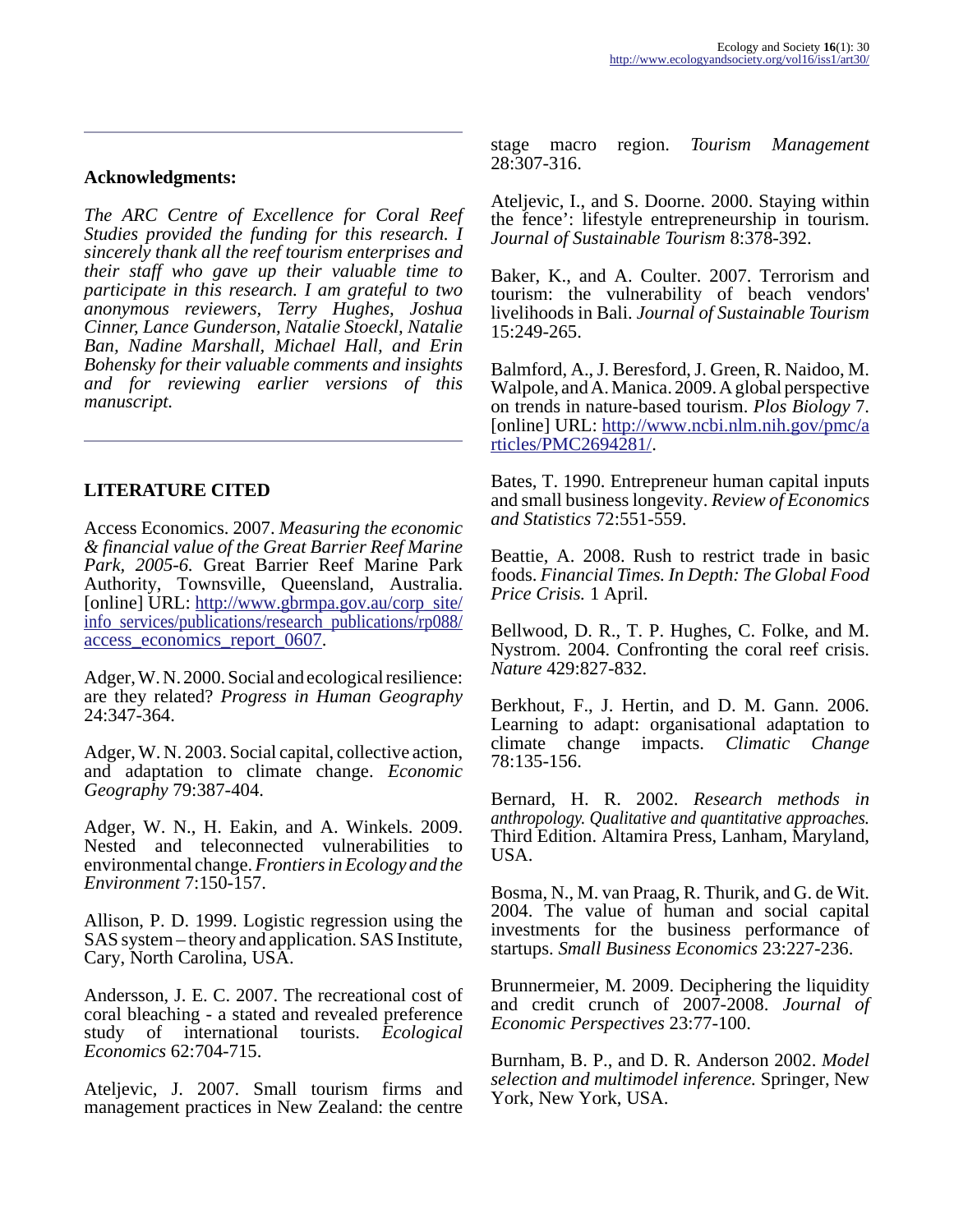#### **Acknowledgments:**

*The ARC Centre of Excellence for Coral Reef Studies provided the funding for this research. I sincerely thank all the reef tourism enterprises and their staff who gave up their valuable time to participate in this research. I am grateful to two anonymous reviewers, Terry Hughes, Joshua Cinner, Lance Gunderson, Natalie Stoeckl, Natalie Ban, Nadine Marshall, Michael Hall, and Erin Bohensky for their valuable comments and insights and for reviewing earlier versions of this manuscript.* 

# **LITERATURE CITED**

Access Economics. 2007. *Measuring the economic & financial value of the Great Barrier Reef Marine Park, 2005-6.* Great Barrier Reef Marine Park Authority, Townsville, Queensland, Australia. [online] URL: [http://www.gbrmpa.gov.au/corp\\_site/](http://www.gbrmpa.gov.au/corp_site/info_services/publications/research_publications/rp088/access_economics_report_0607) [info\\_services/publications/research\\_publications/rp088/](http://www.gbrmpa.gov.au/corp_site/info_services/publications/research_publications/rp088/access_economics_report_0607) [access\\_economics\\_report\\_0607.](http://www.gbrmpa.gov.au/corp_site/info_services/publications/research_publications/rp088/access_economics_report_0607)

Adger, W. N. 2000. Social and ecological resilience: are they related? *Progress in Human Geography* 24:347-364.

Adger, W. N. 2003. Social capital, collective action, and adaptation to climate change. *Economic Geography* 79:387-404.

Adger, W. N., H. Eakin, and A. Winkels. 2009. Nested and teleconnected vulnerabilities to environmental change. *Frontiers in Ecology and the Environment* 7:150-157.

Allison, P. D. 1999. Logistic regression using the SAS system – theory and application. SAS Institute, Cary, North Carolina, USA.

Andersson, J. E. C. 2007. The recreational cost of coral bleaching - a stated and revealed preference study of international tourists. *Ecological Economics* 62:704-715.

Ateljevic, J. 2007. Small tourism firms and management practices in New Zealand: the centre stage macro region. *Tourism Management* 28:307-316.

Ateljevic, I., and S. Doorne. 2000. Staying within the fence': lifestyle entrepreneurship in tourism. *Journal of Sustainable Tourism* 8:378-392.

Baker, K., and A. Coulter. 2007. Terrorism and tourism: the vulnerability of beach vendors' livelihoods in Bali. *Journal of Sustainable Tourism* 15:249-265.

Balmford, A., J. Beresford, J. Green, R. Naidoo, M. Walpole, and A. Manica. 2009. A global perspective on trends in nature-based tourism. *Plos Biology* 7. [online] URL: [http://www.ncbi.nlm.nih.gov/pmc/a](http://www.ncbi.nlm.nih.gov/pmc/articles/PMC2694281/) [rticles/PMC2694281/](http://www.ncbi.nlm.nih.gov/pmc/articles/PMC2694281/).

Bates, T. 1990. Entrepreneur human capital inputs and small business longevity. *Review of Economics and Statistics* 72:551-559.

Beattie, A. 2008. Rush to restrict trade in basic foods. *Financial Times. In Depth: The Global Food Price Crisis.* 1 April.

Bellwood, D. R., T. P. Hughes, C. Folke, and M. Nystrom. 2004. Confronting the coral reef crisis. *Nature* 429:827-832.

Berkhout, F., J. Hertin, and D. M. Gann. 2006. Learning to adapt: organisational adaptation to climate change impacts. *Climatic Change* 78:135-156.

Bernard, H. R. 2002. *Research methods in anthropology. Qualitative and quantitative approaches.* Third Edition. Altamira Press, Lanham, Maryland, USA.

Bosma, N., M. van Praag, R. Thurik, and G. de Wit. 2004. The value of human and social capital investments for the business performance of startups. *Small Business Economics* 23:227-236.

Brunnermeier, M. 2009. Deciphering the liquidity and credit crunch of 2007-2008. *Journal of Economic Perspectives* 23:77-100.

Burnham, B. P., and D. R. Anderson 2002. *Model selection and multimodel inference.* Springer, New York, New York, USA.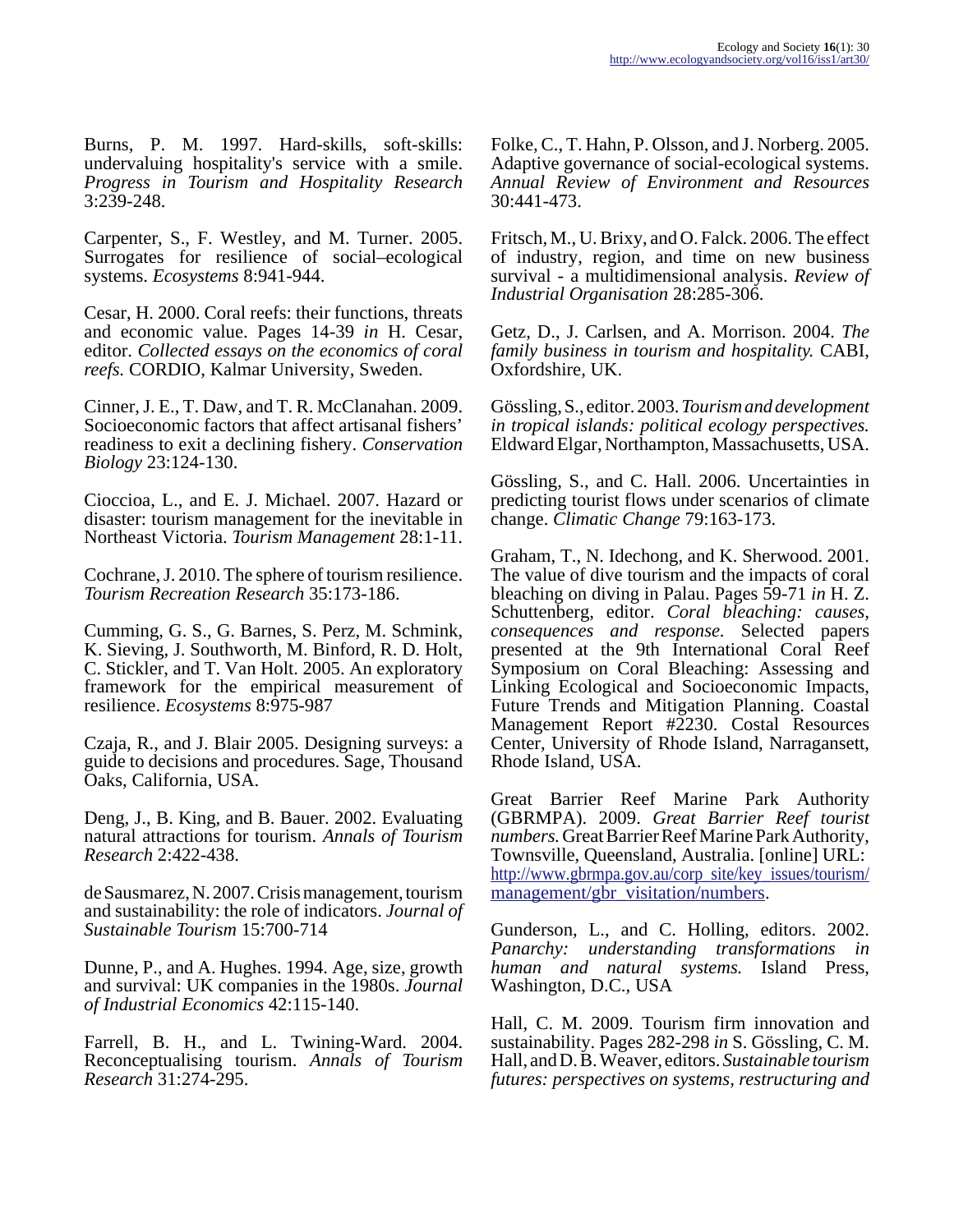Burns, P. M. 1997. Hard-skills, soft-skills: undervaluing hospitality's service with a smile. *Progress in Tourism and Hospitality Research* 3:239-248.

Carpenter, S., F. Westley, and M. Turner. 2005. Surrogates for resilience of social–ecological systems. *Ecosystems* 8:941-944.

Cesar, H. 2000. Coral reefs: their functions, threats and economic value. Pages 14-39 *in* H. Cesar, editor. *Collected essays on the economics of coral reefs.* CORDIO, Kalmar University, Sweden.

Cinner, J. E., T. Daw, and T. R. McClanahan. 2009. Socioeconomic factors that affect artisanal fishers' readiness to exit a declining fishery. *Conservation Biology* 23:124-130.

Cioccioa, L., and E. J. Michael. 2007. Hazard or disaster: tourism management for the inevitable in Northeast Victoria. *Tourism Management* 28:1-11.

Cochrane, J. 2010. The sphere of tourism resilience. *Tourism Recreation Research* 35:173-186.

Cumming, G. S., G. Barnes, S. Perz, M. Schmink, K. Sieving, J. Southworth, M. Binford, R. D. Holt, C. Stickler, and T. Van Holt. 2005. An exploratory framework for the empirical measurement of resilience. *Ecosystems* 8:975-987

Czaja, R., and J. Blair 2005. Designing surveys: a guide to decisions and procedures. Sage, Thousand Oaks, California, USA.

Deng, J., B. King, and B. Bauer. 2002. Evaluating natural attractions for tourism. *Annals of Tourism Research* 2:422-438.

de Sausmarez, N. 2007. Crisis management, tourism and sustainability: the role of indicators. *Journal of Sustainable Tourism* 15:700-714

Dunne, P., and A. Hughes. 1994. Age, size, growth and survival: UK companies in the 1980s. *Journal of Industrial Economics* 42:115-140.

Farrell, B. H., and L. Twining-Ward. 2004. Reconceptualising tourism. *Annals of Tourism Research* 31:274-295.

Folke, C., T. Hahn, P. Olsson, and J. Norberg. 2005. Adaptive governance of social-ecological systems. *Annual Review of Environment and Resources* 30:441-473.

Fritsch, M., U. Brixy, and O. Falck. 2006. The effect of industry, region, and time on new business survival - a multidimensional analysis. *Review of Industrial Organisation* 28:285-306.

Getz, D., J. Carlsen, and A. Morrison. 2004. *The family business in tourism and hospitality.* CABI, Oxfordshire, UK.

Gössling, S., editor. 2003. *Tourism and development in tropical islands: political ecology perspectives.* Eldward Elgar, Northampton, Massachusetts, USA.

Gössling, S., and C. Hall. 2006. Uncertainties in predicting tourist flows under scenarios of climate change. *Climatic Change* 79:163-173.

Graham, T., N. Idechong, and K. Sherwood. 2001. The value of dive tourism and the impacts of coral bleaching on diving in Palau. Pages 59-71 *in* H. Z. Schuttenberg, editor. *Coral bleaching: causes, consequences and response.* Selected papers presented at the 9th International Coral Reef Symposium on Coral Bleaching: Assessing and Linking Ecological and Socioeconomic Impacts, Future Trends and Mitigation Planning. Coastal Management Report #2230. Costal Resources Center, University of Rhode Island, Narragansett, Rhode Island, USA.

Great Barrier Reef Marine Park Authority (GBRMPA). 2009. *Great Barrier Reef tourist numbers.* Great Barrier Reef Marine Park Authority, Townsville, Queensland, Australia. [online] URL: [http://www.gbrmpa.gov.au/corp\\_site/key\\_issues/tourism/](http://www.gbrmpa.gov.au/corp_site/key_issues/tourism/management/gbr_visitation/numbers) [management/gbr\\_visitation/numbers.](http://www.gbrmpa.gov.au/corp_site/key_issues/tourism/management/gbr_visitation/numbers)

Gunderson, L., and C. Holling, editors. 2002. *Panarchy: understanding transformations in human and natural systems.* Island Press, Washington, D.C., USA

Hall, C. M. 2009. Tourism firm innovation and sustainability. Pages 282-298 *in* S. Gössling, C. M. Hall, and D. B. Weaver, editors. *Sustainable tourism futures: perspectives on systems, restructuring and*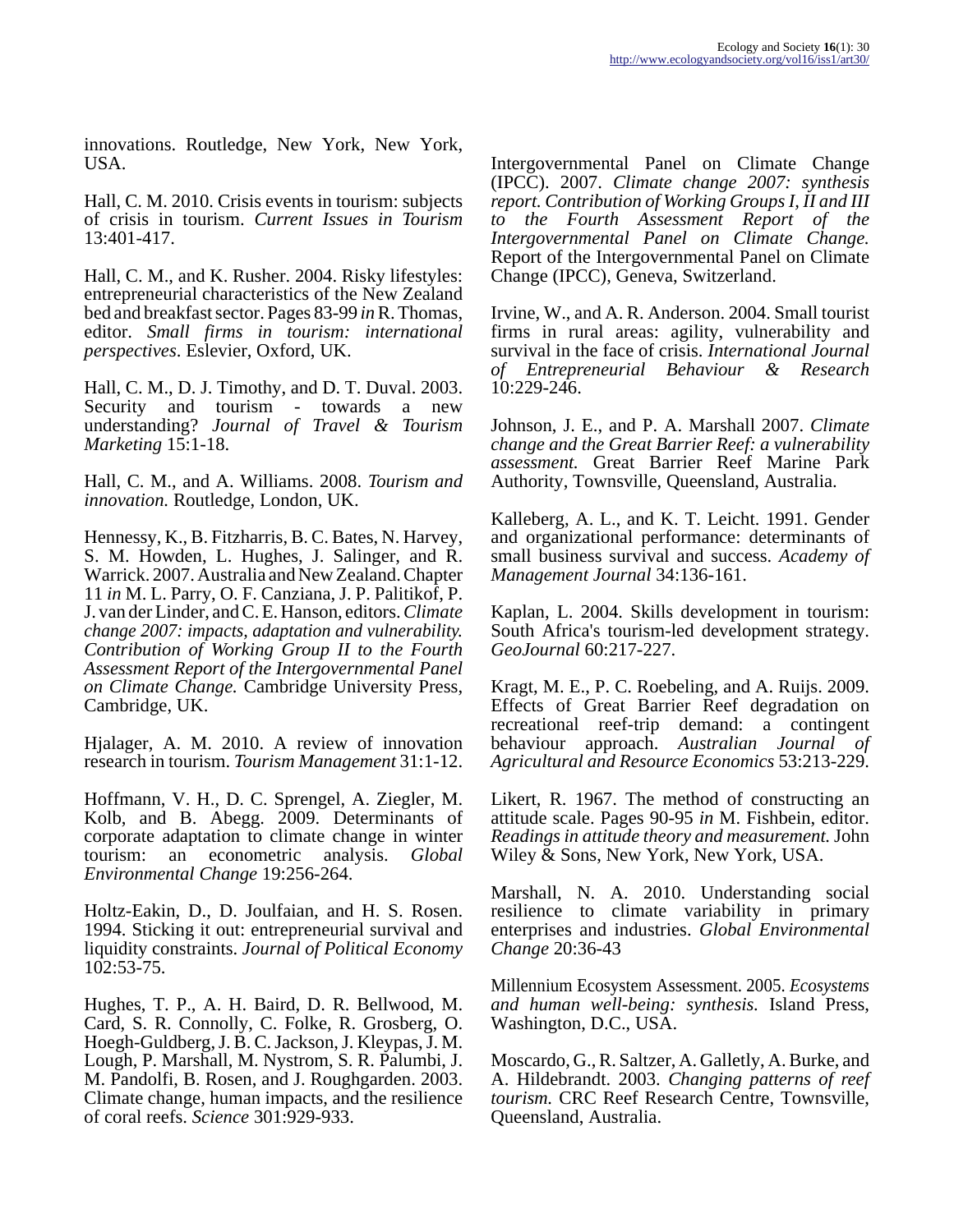innovations. Routledge, New York, New York, USA.

Hall, C. M. 2010. Crisis events in tourism: subjects of crisis in tourism. *Current Issues in Tourism* 13:401-417.

Hall, C. M., and K. Rusher. 2004. Risky lifestyles: entrepreneurial characteristics of the New Zealand bed and breakfast sector. Pages 83-99 *in* R. Thomas, editor. *Small firms in tourism: international perspectives*. Eslevier, Oxford, UK.

Hall, C. M., D. J. Timothy, and D. T. Duval. 2003. Security and tourism - towards a new understanding? *Journal of Travel & Tourism Marketing* 15:1-18.

Hall, C. M., and A. Williams. 2008. *Tourism and innovation.* Routledge, London, UK.

Hennessy, K., B. Fitzharris, B. C. Bates, N. Harvey, S. M. Howden, L. Hughes, J. Salinger, and R. Warrick. 2007. Australia and New Zealand. Chapter 11 *in* M. L. Parry, O. F. Canziana, J. P. Palitikof, P. J. van der Linder, and C. E. Hanson, editors. *Climate change 2007: impacts, adaptation and vulnerability. Contribution of Working Group II to the Fourth Assessment Report of the Intergovernmental Panel on Climate Change.* Cambridge University Press, Cambridge, UK.

Hjalager, A. M. 2010. A review of innovation research in tourism. *Tourism Management* 31:1-12.

Hoffmann, V. H., D. C. Sprengel, A. Ziegler, M. Kolb, and B. Abegg. 2009. Determinants of corporate adaptation to climate change in winter tourism: an econometric analysis. *Global Environmental Change* 19:256-264.

Holtz-Eakin, D., D. Joulfaian, and H. S. Rosen. 1994. Sticking it out: entrepreneurial survival and liquidity constraints. *Journal of Political Economy* 102:53-75.

Hughes, T. P., A. H. Baird, D. R. Bellwood, M. Card, S. R. Connolly, C. Folke, R. Grosberg, O. Hoegh-Guldberg, J. B. C. Jackson, J. Kleypas, J. M. Lough, P. Marshall, M. Nystrom, S. R. Palumbi, J. M. Pandolfi, B. Rosen, and J. Roughgarden. 2003. Climate change, human impacts, and the resilience of coral reefs. *Science* 301:929-933.

Intergovernmental Panel on Climate Change (IPCC). 2007. *Climate change 2007: synthesis report. Contribution of Working Groups I, II and III to the Fourth Assessment Report of the Intergovernmental Panel on Climate Change.* Report of the Intergovernmental Panel on Climate Change (IPCC), Geneva, Switzerland.

Irvine, W., and A. R. Anderson. 2004. Small tourist firms in rural areas: agility, vulnerability and survival in the face of crisis. *International Journal of Entrepreneurial Behaviour & Research* 10:229-246.

Johnson, J. E., and P. A. Marshall 2007. *Climate change and the Great Barrier Reef: a vulnerability assessment.* Great Barrier Reef Marine Park Authority, Townsville, Queensland, Australia.

Kalleberg, A. L., and K. T. Leicht. 1991. Gender and organizational performance: determinants of small business survival and success. *Academy of Management Journal* 34:136-161.

Kaplan, L. 2004. Skills development in tourism: South Africa's tourism-led development strategy. *GeoJournal* 60:217-227.

Kragt, M. E., P. C. Roebeling, and A. Ruijs. 2009. Effects of Great Barrier Reef degradation on recreational reef-trip demand: a contingent behaviour approach. *Australian Journal of Agricultural and Resource Economics* 53:213-229.

Likert, R. 1967. The method of constructing an attitude scale. Pages 90-95 *in* M. Fishbein, editor. *Readings in attitude theory and measurement.* John Wiley & Sons, New York, New York, USA.

Marshall, N. A. 2010. Understanding social resilience to climate variability in primary enterprises and industries. *Global Environmental Change* 20:36-43

Millennium Ecosystem Assessment. 2005. *Ecosystems and human well-being: synthesis.* Island Press, Washington, D.C., USA.

Moscardo, G., R. Saltzer, A. Galletly, A. Burke, and A. Hildebrandt. 2003. *Changing patterns of reef tourism.* CRC Reef Research Centre, Townsville, Queensland, Australia.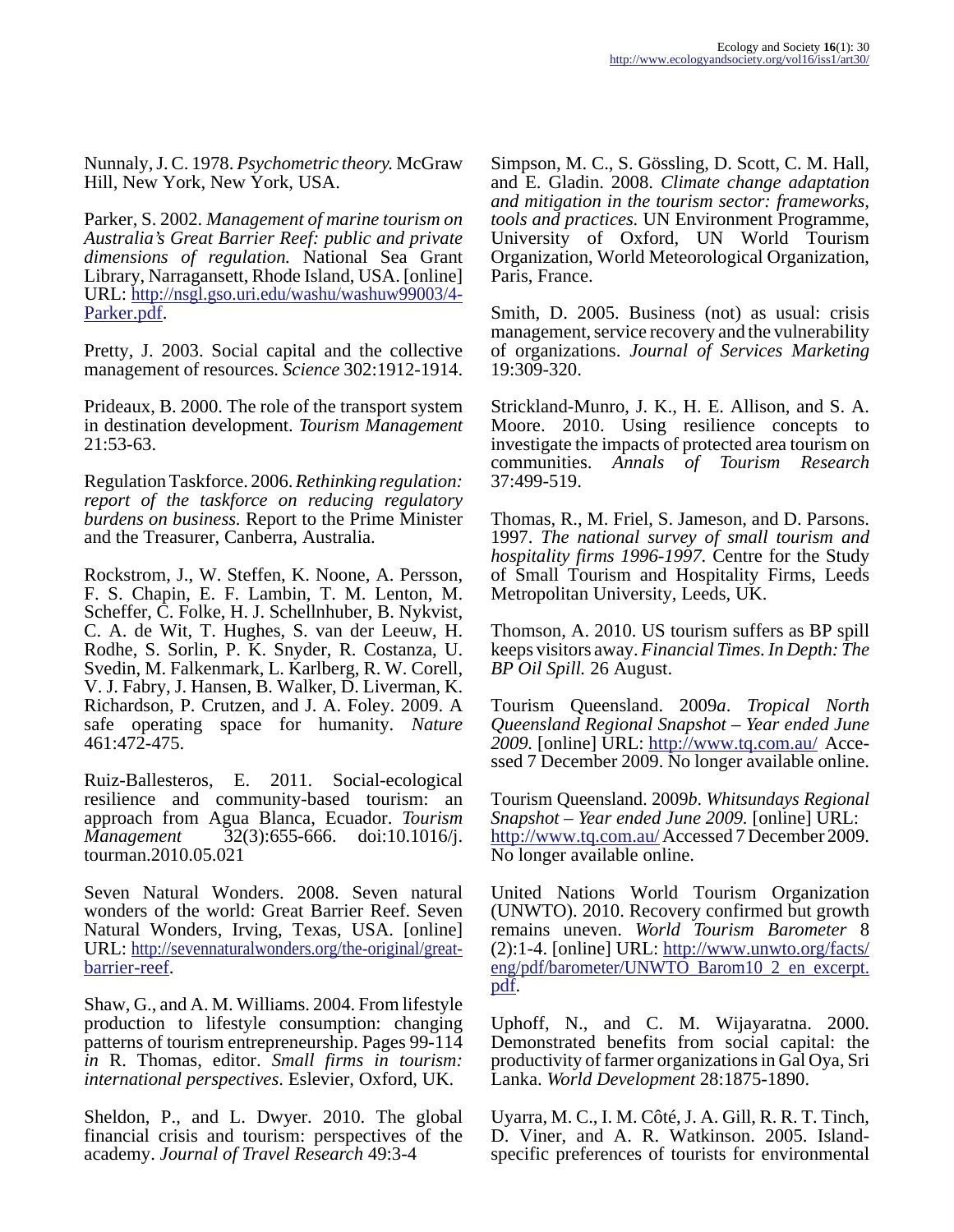Nunnaly, J. C. 1978. *Psychometric theory.* McGraw Hill, New York, New York, USA.

Parker, S. 2002. *Management of marine tourism on Australia's Great Barrier Reef: public and private dimensions of regulation.* National Sea Grant Library, Narragansett, Rhode Island, USA. [online] URL: [http://nsgl.gso.uri.edu/washu/washuw99003/4-](http://nsgl.gso.uri.edu/washu/washuw99003/4-Parker.pdf) [Parker.pdf](http://nsgl.gso.uri.edu/washu/washuw99003/4-Parker.pdf).

Pretty, J. 2003. Social capital and the collective management of resources. *Science* 302:1912-1914.

Prideaux, B. 2000. The role of the transport system in destination development. *Tourism Management* 21:53-63.

Regulation Taskforce. 2006. *Rethinking regulation: report of the taskforce on reducing regulatory burdens on business.* Report to the Prime Minister and the Treasurer, Canberra, Australia.

Rockstrom, J., W. Steffen, K. Noone, A. Persson, F. S. Chapin, E. F. Lambin, T. M. Lenton, M. Scheffer, C. Folke, H. J. Schellnhuber, B. Nykvist, C. A. de Wit, T. Hughes, S. van der Leeuw, H. Rodhe, S. Sorlin, P. K. Snyder, R. Costanza, U. Svedin, M. Falkenmark, L. Karlberg, R. W. Corell, V. J. Fabry, J. Hansen, B. Walker, D. Liverman, K. Richardson, P. Crutzen, and J. A. Foley. 2009. A safe operating space for humanity. *Nature* 461:472-475.

Ruiz-Ballesteros, E. 2011. Social-ecological resilience and community-based tourism: an approach from Agua Blanca, Ecuador. *Tourism Management* 32(3):655-666. doi:10.1016/j. tourman.2010.05.021

Seven Natural Wonders. 2008. Seven natural wonders of the world: Great Barrier Reef. Seven Natural Wonders, Irving, Texas, USA. [online] URL: [http://sevennaturalwonders.org/the-original/great](http://sevennaturalwonders.org/the-original/great-barrier-reef)[barrier-reef.](http://sevennaturalwonders.org/the-original/great-barrier-reef)

Shaw, G., and A. M. Williams. 2004. From lifestyle production to lifestyle consumption: changing patterns of tourism entrepreneurship. Pages 99-114 *in* R. Thomas, editor. *Small firms in tourism: international perspectives*. Eslevier, Oxford, UK.

Sheldon, P., and L. Dwyer. 2010. The global financial crisis and tourism: perspectives of the academy. *Journal of Travel Research* 49:3-4

Simpson, M. C., S. Gössling, D. Scott, C. M. Hall, and E. Gladin. 2008. *Climate change adaptation and mitigation in the tourism sector: frameworks, tools and practices.* UN Environment Programme, University of Oxford, UN World Tourism Organization, World Meteorological Organization, Paris, France.

Smith, D. 2005. Business (not) as usual: crisis management, service recovery and the vulnerability of organizations. *Journal of Services Marketing* 19:309-320.

Strickland-Munro, J. K., H. E. Allison, and S. A. Moore. 2010. Using resilience concepts to investigate the impacts of protected area tourism on communities. *Annals of Tourism Research* 37:499-519.

Thomas, R., M. Friel, S. Jameson, and D. Parsons. 1997. *The national survey of small tourism and hospitality firms 1996-1997.* Centre for the Study of Small Tourism and Hospitality Firms, Leeds Metropolitan University, Leeds, UK.

Thomson, A. 2010. US tourism suffers as BP spill keeps visitors away. *Financial Times. In Depth: The BP Oil Spill.* 26 August.

Tourism Queensland. 2009*a*. *Tropical North Queensland Regional Snapshot – Year ended June 2009.* [online] URL:<http://www.tq.com.au/>Accessed 7 December 2009. No longer available online.

Tourism Queensland. 2009*b*. *Whitsundays Regional Snapshot – Year ended June 2009.* [online] URL: <http://www.tq.com.au/> Accessed 7 December 2009. No longer available online.

United Nations World Tourism Organization (UNWTO). 2010. Recovery confirmed but growth remains uneven. *World Tourism Barometer* 8  $(2)$ :1-4. [online] URL: [http://www.unwto.org/facts/](http://www.unwto.org/facts/eng/pdf/barometer/UNWTO_Barom10_2_en_excerpt.pdf) eng/pdf/barometer/UNWTO\_Barom10\_2\_en\_excerpt. [pdf.](http://www.unwto.org/facts/eng/pdf/barometer/UNWTO_Barom10_2_en_excerpt.pdf)

Uphoff, N., and C. M. Wijayaratna. 2000. Demonstrated benefits from social capital: the productivity of farmer organizations in Gal Oya, Sri Lanka. *World Development* 28:1875-1890.

Uyarra, M. C., I. M. Côté, J. A. Gill, R. R. T. Tinch, D. Viner, and A. R. Watkinson. 2005. Islandspecific preferences of tourists for environmental